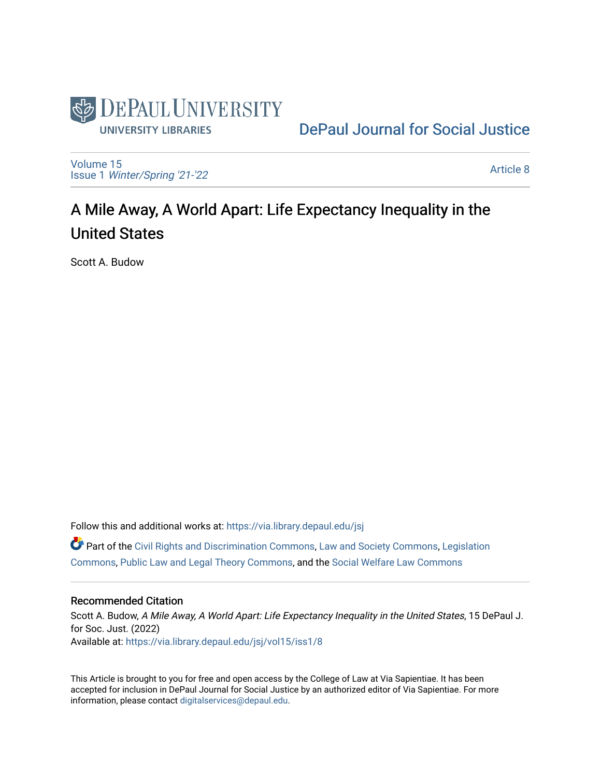

# [DePaul Journal for Social Justice](https://via.library.depaul.edu/jsj)

[Volume 15](https://via.library.depaul.edu/jsj/vol15) Issue 1 [Winter/Spring '21-'22](https://via.library.depaul.edu/jsj/vol15/iss1) 

[Article 8](https://via.library.depaul.edu/jsj/vol15/iss1/8) 

# A Mile Away, A World Apart: Life Expectancy Inequality in the United States

Scott A. Budow

Follow this and additional works at: [https://via.library.depaul.edu/jsj](https://via.library.depaul.edu/jsj?utm_source=via.library.depaul.edu%2Fjsj%2Fvol15%2Fiss1%2F8&utm_medium=PDF&utm_campaign=PDFCoverPages)  Part of the [Civil Rights and Discrimination Commons,](https://network.bepress.com/hgg/discipline/585?utm_source=via.library.depaul.edu%2Fjsj%2Fvol15%2Fiss1%2F8&utm_medium=PDF&utm_campaign=PDFCoverPages) [Law and Society Commons](https://network.bepress.com/hgg/discipline/853?utm_source=via.library.depaul.edu%2Fjsj%2Fvol15%2Fiss1%2F8&utm_medium=PDF&utm_campaign=PDFCoverPages), [Legislation](https://network.bepress.com/hgg/discipline/859?utm_source=via.library.depaul.edu%2Fjsj%2Fvol15%2Fiss1%2F8&utm_medium=PDF&utm_campaign=PDFCoverPages) [Commons](https://network.bepress.com/hgg/discipline/859?utm_source=via.library.depaul.edu%2Fjsj%2Fvol15%2Fiss1%2F8&utm_medium=PDF&utm_campaign=PDFCoverPages), [Public Law and Legal Theory Commons](https://network.bepress.com/hgg/discipline/871?utm_source=via.library.depaul.edu%2Fjsj%2Fvol15%2Fiss1%2F8&utm_medium=PDF&utm_campaign=PDFCoverPages), and the [Social Welfare Law Commons](https://network.bepress.com/hgg/discipline/878?utm_source=via.library.depaul.edu%2Fjsj%2Fvol15%2Fiss1%2F8&utm_medium=PDF&utm_campaign=PDFCoverPages)

#### Recommended Citation

Scott A. Budow, A Mile Away, A World Apart: Life Expectancy Inequality in the United States, 15 DePaul J. for Soc. Just. (2022) Available at: [https://via.library.depaul.edu/jsj/vol15/iss1/8](https://via.library.depaul.edu/jsj/vol15/iss1/8?utm_source=via.library.depaul.edu%2Fjsj%2Fvol15%2Fiss1%2F8&utm_medium=PDF&utm_campaign=PDFCoverPages) 

This Article is brought to you for free and open access by the College of Law at Via Sapientiae. It has been accepted for inclusion in DePaul Journal for Social Justice by an authorized editor of Via Sapientiae. For more information, please contact [digitalservices@depaul.edu](mailto:digitalservices@depaul.edu).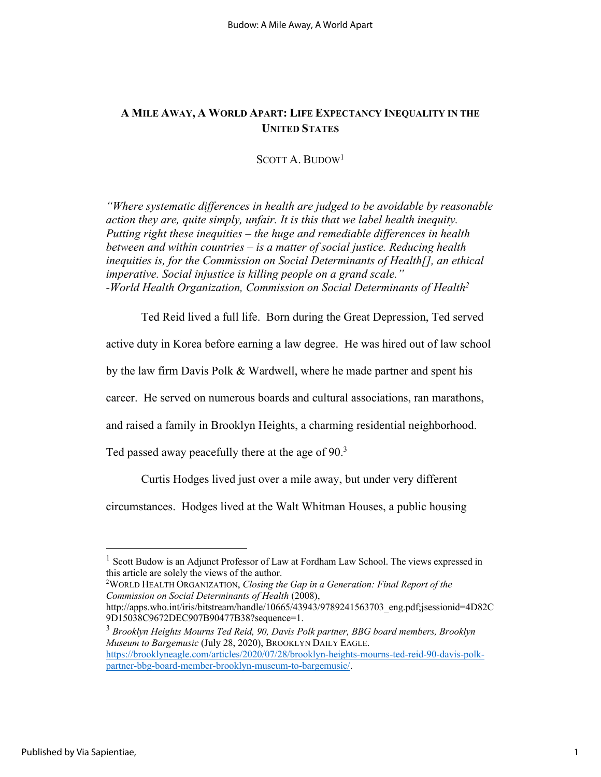# **A MILE AWAY, A WORLD APART: LIFE EXPECTANCY INEQUALITY IN THE UNITED STATES**

SCOTT A. BUDOW1

*"Where systematic differences in health are judged to be avoidable by reasonable action they are, quite simply, unfair. It is this that we label health inequity. Putting right these inequities – the huge and remediable differences in health between and within countries – is a matter of social justice. Reducing health inequities is, for the Commission on Social Determinants of Health[], an ethical imperative. Social injustice is killing people on a grand scale." -World Health Organization, Commission on Social Determinants of Health2*

Ted Reid lived a full life. Born during the Great Depression, Ted served

active duty in Korea before earning a law degree. He was hired out of law school

by the law firm Davis Polk & Wardwell, where he made partner and spent his

career. He served on numerous boards and cultural associations, ran marathons,

and raised a family in Brooklyn Heights, a charming residential neighborhood.

Ted passed away peacefully there at the age of 90.<sup>3</sup>

Curtis Hodges lived just over a mile away, but under very different

circumstances. Hodges lived at the Walt Whitman Houses, a public housing

2 WORLD HEALTH ORGANIZATION, *Closing the Gap in a Generation: Final Report of the Commission on Social Determinants of Health* (2008),

http://apps.who.int/iris/bitstream/handle/10665/43943/9789241563703\_eng.pdf;jsessionid=4D82C 9D15038C9672DEC907B90477B38?sequence=1.

<sup>3</sup> *Brooklyn Heights Mourns Ted Reid, 90, Davis Polk partner, BBG board members, Brooklyn Museum to Bargemusic* (July 28, 2020), BROOKLYN DAILY EAGLE. https://brooklyneagle.com/articles/2020/07/28/brooklyn-heights-mourns-ted-reid-90-davis-polkpartner-bbg-board-member-brooklyn-museum-to-bargemusic/.

<sup>&</sup>lt;sup>1</sup> Scott Budow is an Adjunct Professor of Law at Fordham Law School. The views expressed in this article are solely the views of the author.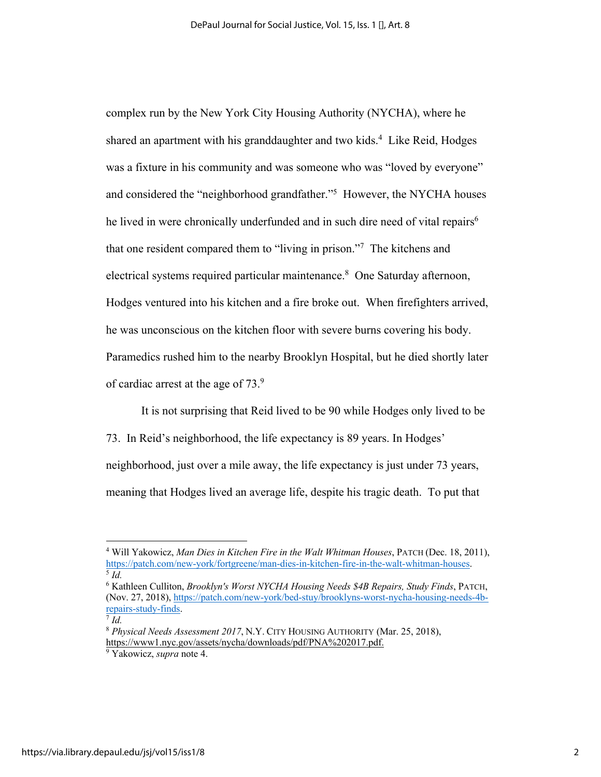complex run by the New York City Housing Authority (NYCHA), where he shared an apartment with his granddaughter and two kids.<sup>4</sup> Like Reid, Hodges was a fixture in his community and was someone who was "loved by everyone" and considered the "neighborhood grandfather."5 However, the NYCHA houses he lived in were chronically underfunded and in such dire need of vital repairs<sup>6</sup> that one resident compared them to "living in prison."7 The kitchens and electrical systems required particular maintenance.<sup>8</sup> One Saturday afternoon, Hodges ventured into his kitchen and a fire broke out. When firefighters arrived, he was unconscious on the kitchen floor with severe burns covering his body. Paramedics rushed him to the nearby Brooklyn Hospital, but he died shortly later of cardiac arrest at the age of  $73.9$ 

It is not surprising that Reid lived to be 90 while Hodges only lived to be 73. In Reid's neighborhood, the life expectancy is 89 years. In Hodges' neighborhood, just over a mile away, the life expectancy is just under 73 years, meaning that Hodges lived an average life, despite his tragic death. To put that

<sup>4</sup> Will Yakowicz, *Man Dies in Kitchen Fire in the Walt Whitman Houses*, PATCH (Dec. 18, 2011), https://patch.com/new-york/fortgreene/man-dies-in-kitchen-fire-in-the-walt-whitman-houses. 5 *Id.*

<sup>6</sup> Kathleen Culliton, *Brooklyn's Worst NYCHA Housing Needs \$4B Repairs, Study Finds*, PATCH, (Nov. 27, 2018), https://patch.com/new-york/bed-stuy/brooklyns-worst-nycha-housing-needs-4brepairs-study-finds. 7 *Id.*

<sup>8</sup> *Physical Needs Assessment 2017*, N.Y. CITY HOUSING AUTHORITY (Mar. 25, 2018), https://www1.nyc.gov/assets/nycha/downloads/pdf/PNA%202017.pdf.

<sup>9</sup> Yakowicz, *supra* note 4.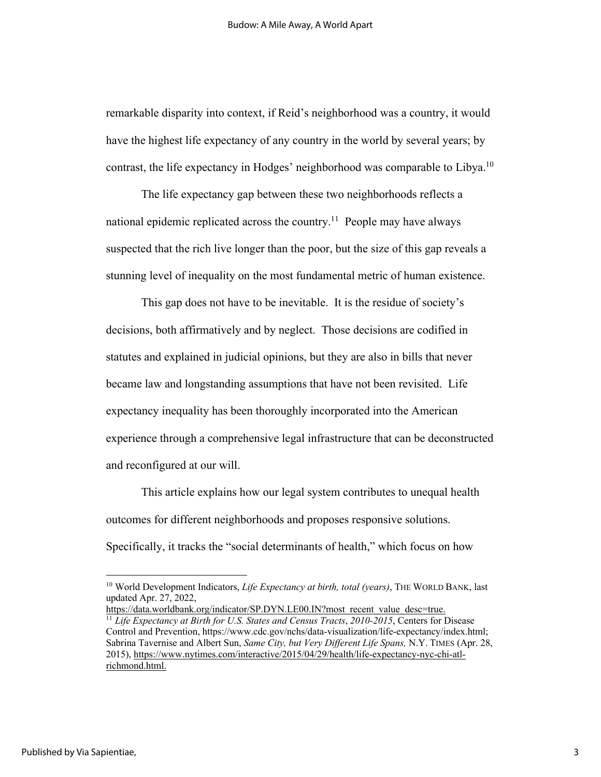remarkable disparity into context, if Reid's neighborhood was a country, it would have the highest life expectancy of any country in the world by several years; by contrast, the life expectancy in Hodges' neighborhood was comparable to Libya.<sup>10</sup>

The life expectancy gap between these two neighborhoods reflects a national epidemic replicated across the country.<sup>11</sup> People may have always suspected that the rich live longer than the poor, but the size of this gap reveals a stunning level of inequality on the most fundamental metric of human existence.

This gap does not have to be inevitable. It is the residue of society's decisions, both affirmatively and by neglect. Those decisions are codified in statutes and explained in judicial opinions, but they are also in bills that never became law and longstanding assumptions that have not been revisited. Life expectancy inequality has been thoroughly incorporated into the American experience through a comprehensive legal infrastructure that can be deconstructed and reconfigured at our will.

This article explains how our legal system contributes to unequal health outcomes for different neighborhoods and proposes responsive solutions. Specifically, it tracks the "social determinants of health," which focus on how

https://data.worldbank.org/indicator/SP.DYN.LE00.IN?most\_recent\_value\_desc=true.

<sup>10</sup> World Development Indicators, *Life Expectancy at birth, total (years)*, THE WORLD BANK, last updated Apr. 27, 2022,

<sup>&</sup>lt;sup>11</sup> Life Expectancy at Birth for U.S. States and Census Tracts, 2010-2015, Centers for Disease Control and Prevention, https://www.cdc.gov/nchs/data-visualization/life-expectancy/index.html; Sabrina Tavernise and Albert Sun, *Same City, but Very Different Life Spans,* N.Y. TIMES (Apr. 28, 2015), https://www.nytimes.com/interactive/2015/04/29/health/life-expectancy-nyc-chi-atlrichmond.html.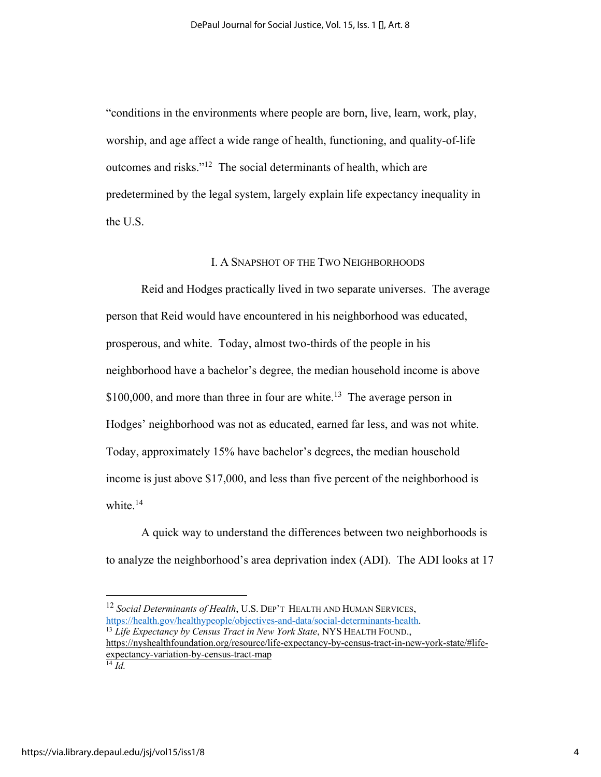"conditions in the environments where people are born, live, learn, work, play, worship, and age affect a wide range of health, functioning, and quality-of-life outcomes and risks."12 The social determinants of health, which are predetermined by the legal system, largely explain life expectancy inequality in the U.S.

#### I. A SNAPSHOT OF THE TWO NEIGHBORHOODS

Reid and Hodges practically lived in two separate universes. The average person that Reid would have encountered in his neighborhood was educated, prosperous, and white. Today, almost two-thirds of the people in his neighborhood have a bachelor's degree, the median household income is above  $$100,000$ , and more than three in four are white.<sup>13</sup> The average person in Hodges' neighborhood was not as educated, earned far less, and was not white. Today, approximately 15% have bachelor's degrees, the median household income is just above \$17,000, and less than five percent of the neighborhood is white.<sup>14</sup>

A quick way to understand the differences between two neighborhoods is to analyze the neighborhood's area deprivation index (ADI). The ADI looks at 17

<sup>12</sup> *Social Determinants of Health*, U.S. DEP'T HEALTH AND HUMAN SERVICES, https://health.gov/healthypeople/objectives-and-data/social-determinants-health. 13 *Life Expectancy by Census Tract in New York State*, NYS HEALTH FOUND.,

https://nyshealthfoundation.org/resource/life-expectancy-by-census-tract-in-new-york-state/#lifeexpectancy-variation-by-census-tract-map

<sup>14</sup> *Id.*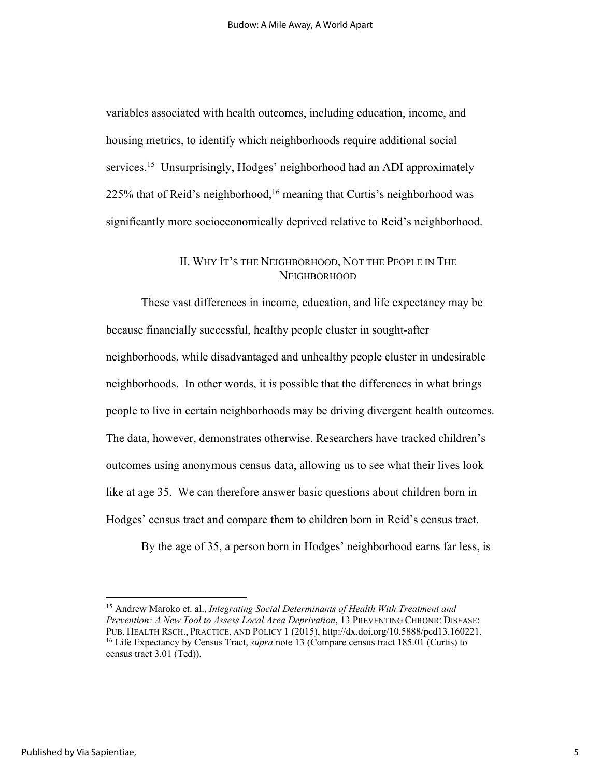variables associated with health outcomes, including education, income, and housing metrics, to identify which neighborhoods require additional social services.<sup>15</sup> Unsurprisingly, Hodges' neighborhood had an ADI approximately 225% that of Reid's neighborhood,<sup>16</sup> meaning that Curtis's neighborhood was significantly more socioeconomically deprived relative to Reid's neighborhood.

# II. WHY IT'S THE NEIGHBORHOOD, NOT THE PEOPLE IN THE **NEIGHBORHOOD**

These vast differences in income, education, and life expectancy may be because financially successful, healthy people cluster in sought-after neighborhoods, while disadvantaged and unhealthy people cluster in undesirable neighborhoods. In other words, it is possible that the differences in what brings people to live in certain neighborhoods may be driving divergent health outcomes. The data, however, demonstrates otherwise. Researchers have tracked children's outcomes using anonymous census data, allowing us to see what their lives look like at age 35. We can therefore answer basic questions about children born in Hodges' census tract and compare them to children born in Reid's census tract.

By the age of 35, a person born in Hodges' neighborhood earns far less, is

<sup>15</sup> Andrew Maroko et. al., *Integrating Social Determinants of Health With Treatment and Prevention: A New Tool to Assess Local Area Deprivation*, 13 PREVENTING CHRONIC DISEASE: PUB. HEALTH RSCH., PRACTICE, AND POLICY 1 (2015), http://dx.doi.org/10.5888/pcd13.160221. <sup>16</sup> Life Expectancy by Census Tract, *supra* note 13 (Compare census tract 185.01 (Curtis) to census tract 3.01 (Ted)).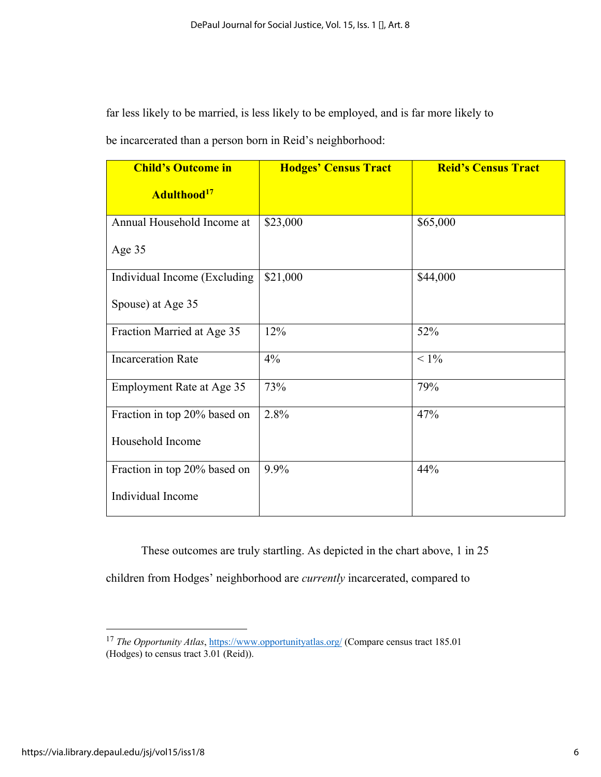far less likely to be married, is less likely to be employed, and is far more likely to be incarcerated than a person born in Reid's neighborhood:

| <b>Child's Outcome in</b>    | <b>Hodges' Census Tract</b> | <b>Reid's Census Tract</b> |
|------------------------------|-----------------------------|----------------------------|
| Adulthood <sup>17</sup>      |                             |                            |
| Annual Household Income at   | \$23,000                    | \$65,000                   |
| Age 35                       |                             |                            |
| Individual Income (Excluding | \$21,000                    | \$44,000                   |
| Spouse) at Age 35            |                             |                            |
| Fraction Married at Age 35   | 12%                         | 52%                        |
| <b>Incarceration Rate</b>    | 4%                          | $< 1\%$                    |
| Employment Rate at Age 35    | 73%                         | 79%                        |
| Fraction in top 20% based on | 2.8%                        | 47%                        |
| Household Income             |                             |                            |
| Fraction in top 20% based on | 9.9%                        | 44%                        |
| Individual Income            |                             |                            |

These outcomes are truly startling. As depicted in the chart above, 1 in 25

children from Hodges' neighborhood are *currently* incarcerated, compared to

<sup>&</sup>lt;sup>17</sup> *The Opportunity Atlas*, https://www.opportunityatlas.org/ (Compare census tract 185.01) (Hodges) to census tract 3.01 (Reid)).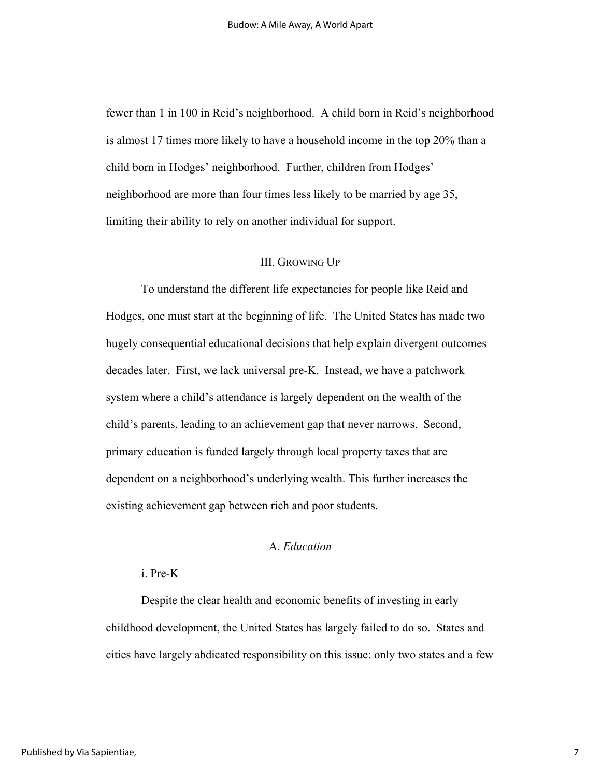fewer than 1 in 100 in Reid's neighborhood. A child born in Reid's neighborhood is almost 17 times more likely to have a household income in the top 20% than a child born in Hodges' neighborhood. Further, children from Hodges' neighborhood are more than four times less likely to be married by age 35, limiting their ability to rely on another individual for support.

#### III. GROWING UP

To understand the different life expectancies for people like Reid and Hodges, one must start at the beginning of life. The United States has made two hugely consequential educational decisions that help explain divergent outcomes decades later. First, we lack universal pre-K. Instead, we have a patchwork system where a child's attendance is largely dependent on the wealth of the child's parents, leading to an achievement gap that never narrows. Second, primary education is funded largely through local property taxes that are dependent on a neighborhood's underlying wealth. This further increases the existing achievement gap between rich and poor students.

# A. *Education*

#### i. Pre-K

Despite the clear health and economic benefits of investing in early childhood development, the United States has largely failed to do so. States and cities have largely abdicated responsibility on this issue: only two states and a few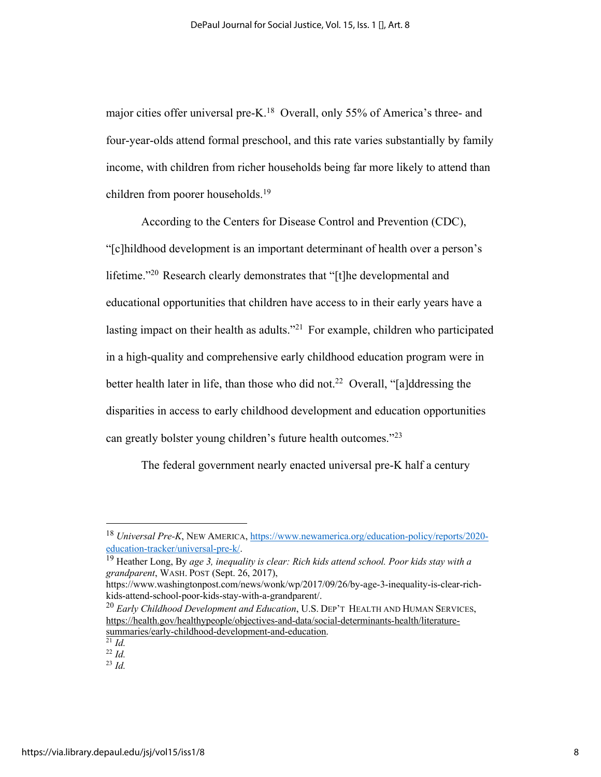major cities offer universal pre-K.<sup>18</sup> Overall, only 55% of America's three- and four-year-olds attend formal preschool, and this rate varies substantially by family income, with children from richer households being far more likely to attend than children from poorer households.19

According to the Centers for Disease Control and Prevention (CDC), "[c]hildhood development is an important determinant of health over a person's lifetime."20 Research clearly demonstrates that "[t]he developmental and educational opportunities that children have access to in their early years have a lasting impact on their health as adults. $12^{21}$  For example, children who participated in a high-quality and comprehensive early childhood education program were in better health later in life, than those who did not.<sup>22</sup> Overall, "[a]ddressing the disparities in access to early childhood development and education opportunities can greatly bolster young children's future health outcomes."23

The federal government nearly enacted universal pre-K half a century

<sup>18</sup> *Universal Pre-K*, NEW AMERICA, https://www.newamerica.org/education-policy/reports/2020 education-tracker/universal-pre-k/.<br><sup>19</sup> Heather Long, By *age 3, inequality is clear: Rich kids attend school. Poor kids stay with a* 

*grandparent*, WASH. POST (Sept. 26, 2017),

https://www.washingtonpost.com/news/wonk/wp/2017/09/26/by-age-3-inequality-is-clear-richkids-attend-school-poor-kids-stay-with-a-grandparent/.

<sup>20</sup> *Early Childhood Development and Education*, U.S. DEP'T HEALTH AND HUMAN SERVICES, https://health.gov/healthypeople/objectives-and-data/social-determinants-health/literaturesummaries/early-childhood-development-and-education.  $\overline{^{21}$  *Id.* 

<sup>22</sup> *Id.*

<sup>23</sup> *Id.*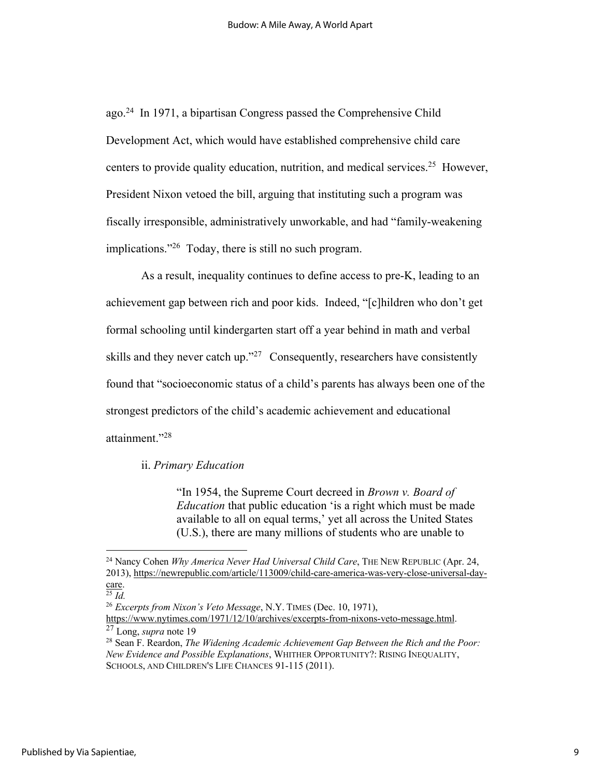ago.24 In 1971, a bipartisan Congress passed the Comprehensive Child Development Act, which would have established comprehensive child care centers to provide quality education, nutrition, and medical services.25 However, President Nixon vetoed the bill, arguing that instituting such a program was fiscally irresponsible, administratively unworkable, and had "family-weakening implications."26 Today, there is still no such program.

As a result, inequality continues to define access to pre-K, leading to an achievement gap between rich and poor kids. Indeed, "[c]hildren who don't get formal schooling until kindergarten start off a year behind in math and verbal skills and they never catch up."<sup>27</sup> Consequently, researchers have consistently found that "socioeconomic status of a child's parents has always been one of the strongest predictors of the child's academic achievement and educational attainment."28

#### ii. *Primary Education*

"In 1954, the Supreme Court decreed in *Brown v. Board of Education* that public education 'is a right which must be made available to all on equal terms,' yet all across the United States (U.S.), there are many millions of students who are unable to

<sup>24</sup> Nancy Cohen *Why America Never Had Universal Child Care*, THE NEW REPUBLIC (Apr. 24, 2013), https://newrepublic.com/article/113009/child-care-america-was-very-close-universal-day-

 $\frac{\text{care}}{^{25} \text{ Id}}$ .

<sup>26</sup> *Excerpts from Nixon's Veto Message*, N.Y. TIMES (Dec. 10, 1971),

https://www.nytimes.com/1971/12/10/archives/excerpts-from-nixons-veto-message.html. 27 Long, *supra* note 19

<sup>28</sup> Sean F. Reardon, *The Widening Academic Achievement Gap Between the Rich and the Poor: New Evidence and Possible Explanations*, WHITHER OPPORTUNITY?: RISING INEQUALITY, SCHOOLS, AND CHILDREN'S LIFE CHANCES 91-115 (2011).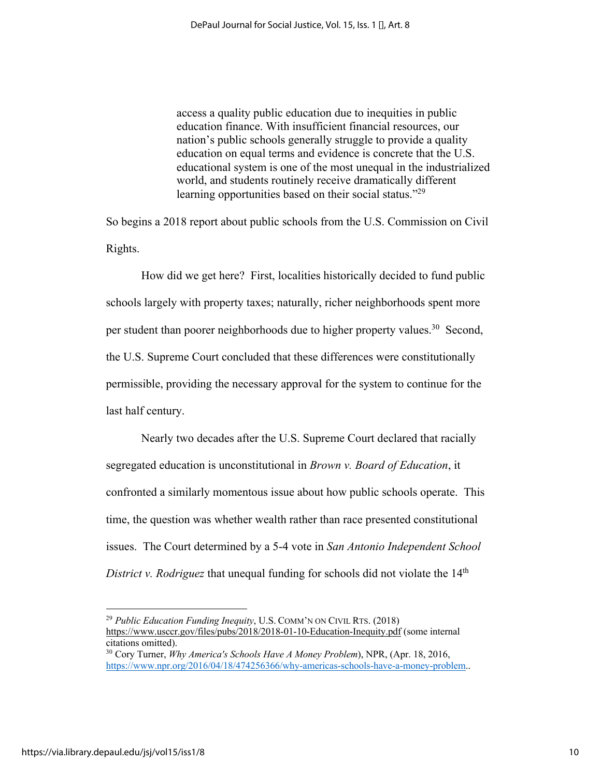access a quality public education due to inequities in public education finance. With insufficient financial resources, our nation's public schools generally struggle to provide a quality education on equal terms and evidence is concrete that the U.S. educational system is one of the most unequal in the industrialized world, and students routinely receive dramatically different learning opportunities based on their social status."<sup>29</sup>

So begins a 2018 report about public schools from the U.S. Commission on Civil Rights.

How did we get here? First, localities historically decided to fund public schools largely with property taxes; naturally, richer neighborhoods spent more per student than poorer neighborhoods due to higher property values.<sup>30</sup> Second, the U.S. Supreme Court concluded that these differences were constitutionally permissible, providing the necessary approval for the system to continue for the last half century.

Nearly two decades after the U.S. Supreme Court declared that racially segregated education is unconstitutional in *Brown v. Board of Education*, it confronted a similarly momentous issue about how public schools operate. This time, the question was whether wealth rather than race presented constitutional issues. The Court determined by a 5-4 vote in *San Antonio Independent School District v. Rodriguez* that unequal funding for schools did not violate the 14<sup>th</sup>

<sup>29</sup> *Public Education Funding Inequity*, U.S. COMM'N ON CIVIL RTS. (2018) https://www.usccr.gov/files/pubs/2018/2018-01-10-Education-Inequity.pdf (some internal citations omitted).

<sup>30</sup> Cory Turner, *Why America's Schools Have A Money Problem*), NPR, (Apr. 18, 2016, https://www.npr.org/2016/04/18/474256366/why-americas-schools-have-a-money-problem..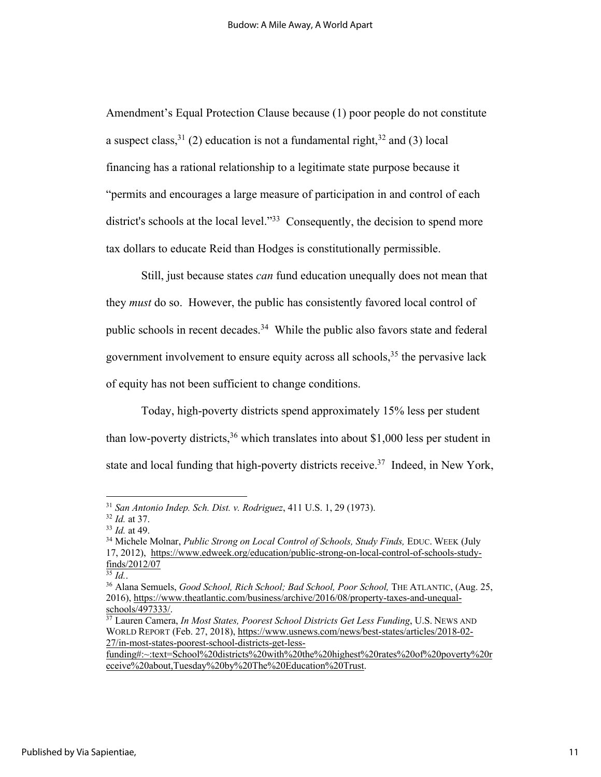Amendment's Equal Protection Clause because (1) poor people do not constitute a suspect class,  $31$  (2) education is not a fundamental right,  $32$  and (3) local financing has a rational relationship to a legitimate state purpose because it "permits and encourages a large measure of participation in and control of each district's schools at the local level."<sup>33</sup> Consequently, the decision to spend more tax dollars to educate Reid than Hodges is constitutionally permissible.

Still, just because states *can* fund education unequally does not mean that they *must* do so. However, the public has consistently favored local control of public schools in recent decades.34 While the public also favors state and federal government involvement to ensure equity across all schools,<sup>35</sup> the pervasive lack of equity has not been sufficient to change conditions.

Today, high-poverty districts spend approximately 15% less per student than low-poverty districts,  $36$  which translates into about \$1,000 less per student in state and local funding that high-poverty districts receive.<sup>37</sup> Indeed, in New York,

<sup>35</sup> *Id.*.

<sup>31</sup> *San Antonio Indep. Sch. Dist. v. Rodriguez*, 411 U.S. 1, 29 (1973).

<sup>32</sup> *Id.* at 37.

<sup>33</sup> *Id.* at 49.

<sup>34</sup> Michele Molnar, *Public Strong on Local Control of Schools, Study Finds,* EDUC. WEEK (July 17, 2012), https://www.edweek.org/education/public-strong-on-local-control-of-schools-studyfinds/2012/07

<sup>36</sup> Alana Semuels, *Good School, Rich School; Bad School, Poor School,* THE ATLANTIC, (Aug. 25, 2016), https://www.theatlantic.com/business/archive/2016/08/property-taxes-and-unequal $schools/497333/$ .

<sup>37</sup> Lauren Camera, *In Most States, Poorest School Districts Get Less Funding*, U.S. NEWS AND WORLD REPORT (Feb. 27, 2018), https://www.usnews.com/news/best-states/articles/2018-02- 27/in-most-states-poorest-school-districts-get-less-

funding#:~:text=School%20districts%20with%20the%20highest%20rates%20of%20poverty%20r eceive%20about,Tuesday%20by%20The%20Education%20Trust.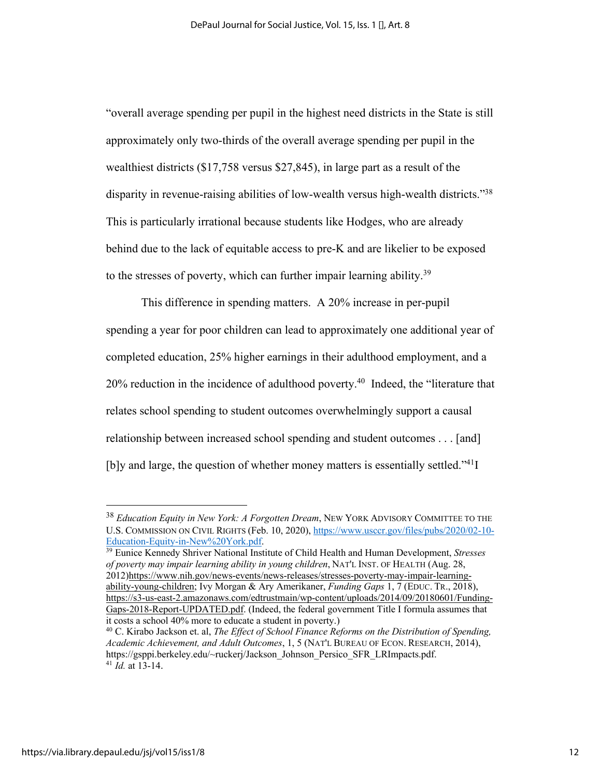"overall average spending per pupil in the highest need districts in the State is still approximately only two-thirds of the overall average spending per pupil in the wealthiest districts (\$17,758 versus \$27,845), in large part as a result of the disparity in revenue-raising abilities of low-wealth versus high-wealth districts."<sup>38</sup> This is particularly irrational because students like Hodges, who are already behind due to the lack of equitable access to pre-K and are likelier to be exposed to the stresses of poverty, which can further impair learning ability.<sup>39</sup>

This difference in spending matters. A 20% increase in per-pupil spending a year for poor children can lead to approximately one additional year of completed education, 25% higher earnings in their adulthood employment, and a  $20\%$  reduction in the incidence of adulthood poverty.<sup>40</sup> Indeed, the "literature that relates school spending to student outcomes overwhelmingly support a causal relationship between increased school spending and student outcomes . . . [and] [b]y and large, the question of whether money matters is essentially settled." $41$ ]

<sup>38</sup> *Education Equity in New York: A Forgotten Dream*, NEW YORK ADVISORY COMMITTEE TO THE U.S. COMMISSION ON CIVIL RIGHTS (Feb. 10, 2020), https://www.usccr.gov/files/pubs/2020/02-10-<br>Education-Equity-in-New%20York.pdf.

<sup>&</sup>lt;sup>39</sup> Eunice Kennedy Shriver National Institute of Child Health and Human Development, *Stresses of poverty may impair learning ability in young children*, NAT'L INST. OF HEALTH (Aug. 28, 2012)https://www.nih.gov/news-events/news-releases/stresses-poverty-may-impair-learningability-young-children; Ivy Morgan & Ary Amerikaner, *Funding Gaps* 1, 7 (EDUC. TR., 2018), https://s3-us-east-2.amazonaws.com/edtrustmain/wp-content/uploads/2014/09/20180601/Funding-Gaps-2018-Report-UPDATED.pdf. (Indeed, the federal government Title I formula assumes that it costs a school 40% more to educate a student in poverty.)

<sup>40</sup> C. Kirabo Jackson et. al, *The Effect of School Finance Reforms on the Distribution of Spending, Academic Achievement, and Adult Outcomes*, 1, 5 (NAT'L BUREAU OF ECON. RESEARCH, 2014), https://gsppi.berkeley.edu/~ruckerj/Jackson\_Johnson\_Persico\_SFR\_LRImpacts.pdf.  $41$   $\tilde{I}$ *d.* at 13-14.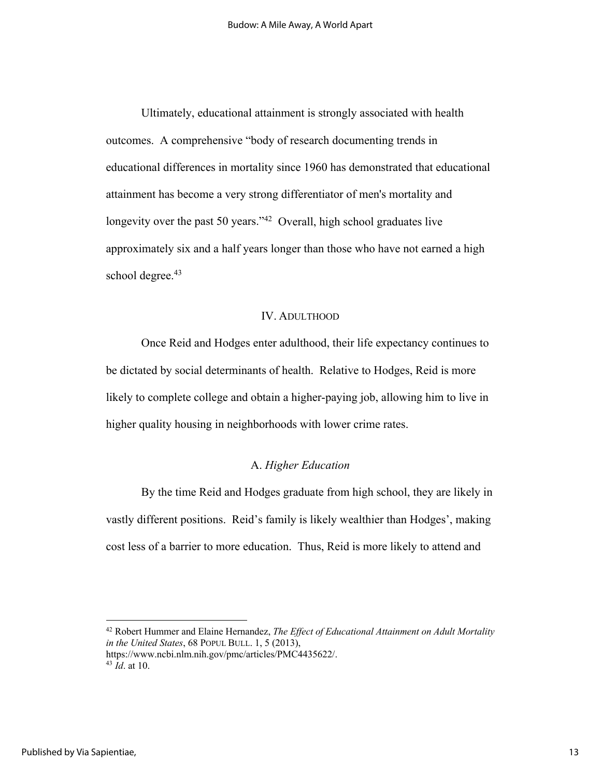Ultimately, educational attainment is strongly associated with health outcomes. A comprehensive "body of research documenting trends in educational differences in mortality since 1960 has demonstrated that educational attainment has become a very strong differentiator of men's mortality and longevity over the past 50 years."<sup>42</sup> Overall, high school graduates live approximately six and a half years longer than those who have not earned a high school degree.<sup>43</sup>

#### IV. ADULTHOOD

Once Reid and Hodges enter adulthood, their life expectancy continues to be dictated by social determinants of health. Relative to Hodges, Reid is more likely to complete college and obtain a higher-paying job, allowing him to live in higher quality housing in neighborhoods with lower crime rates.

# A. *Higher Education*

By the time Reid and Hodges graduate from high school, they are likely in vastly different positions. Reid's family is likely wealthier than Hodges', making cost less of a barrier to more education. Thus, Reid is more likely to attend and

<sup>42</sup> Robert Hummer and Elaine Hernandez, *The Effect of Educational Attainment on Adult Mortality in the United States*, 68 POPUL BULL. 1, 5 (2013),

https://www.ncbi.nlm.nih.gov/pmc/articles/PMC4435622/.  $43 \dot{Id}$ . at 10.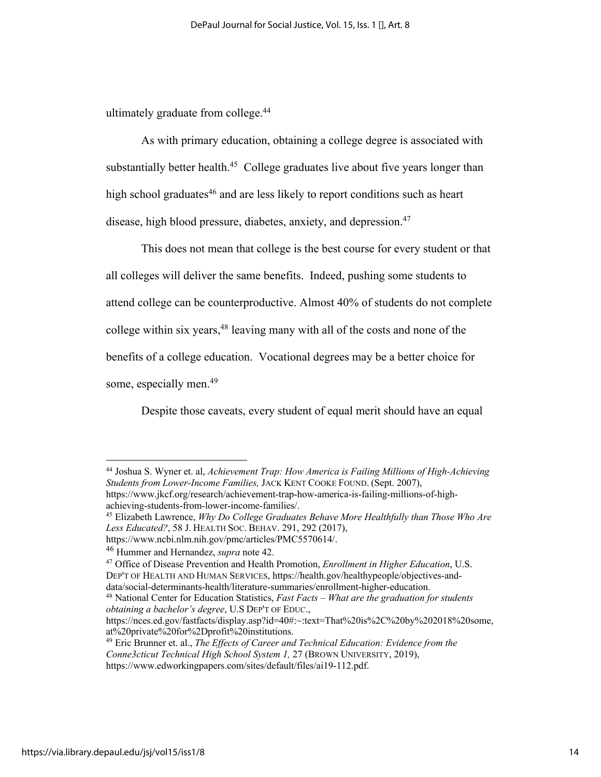ultimately graduate from college.<sup>44</sup>

As with primary education, obtaining a college degree is associated with substantially better health.<sup>45</sup> College graduates live about five years longer than high school graduates $46$  and are less likely to report conditions such as heart disease, high blood pressure, diabetes, anxiety, and depression.<sup>47</sup>

This does not mean that college is the best course for every student or that all colleges will deliver the same benefits. Indeed, pushing some students to attend college can be counterproductive. Almost 40% of students do not complete college within six years,  $48$  leaving many with all of the costs and none of the benefits of a college education. Vocational degrees may be a better choice for some, especially men.<sup>49</sup>

Despite those caveats, every student of equal merit should have an equal

<sup>48</sup> National Center for Education Statistics, *Fast Facts – What are the graduation for students obtaining a bachelor's degree*, U.S DEP'T OF EDUC.,

https://nces.ed.gov/fastfacts/display.asp?id=40#:~:text=That%20is%2C%20by%202018%20some, at%20private%20for%2Dprofit%20institutions.

<sup>44</sup> Joshua S. Wyner et. al, *Achievement Trap: How America is Failing Millions of High-Achieving Students from Lower-Income Families,* JACK KENT COOKE FOUND. (Sept. 2007), https://www.jkcf.org/research/achievement-trap-how-america-is-failing-millions-of-highachieving-students-from-lower-income-families/.

<sup>45</sup> Elizabeth Lawrence, *Why Do College Graduates Behave More Healthfully than Those Who Are Less Educated?*, 58 J. HEALTH SOC. BEHAV. 291, 292 (2017),

https://www.ncbi.nlm.nih.gov/pmc/articles/PMC5570614/.

<sup>46</sup> Hummer and Hernandez, *supra* note 42.

<sup>47</sup> Office of Disease Prevention and Health Promotion, *Enrollment in Higher Education*, U.S. DEP'T OF HEALTH AND HUMAN SERVICES, https://health.gov/healthypeople/objectives-anddata/social-determinants-health/literature-summaries/enrollment-higher-education.

<sup>49</sup> Eric Brunner et. al., *The Effects of Career and Technical Education: Evidence from the Conne3cticut Technical High School System 1,* 27 (BROWN UNIVERSITY, 2019),

https://www.edworkingpapers.com/sites/default/files/ai19-112.pdf.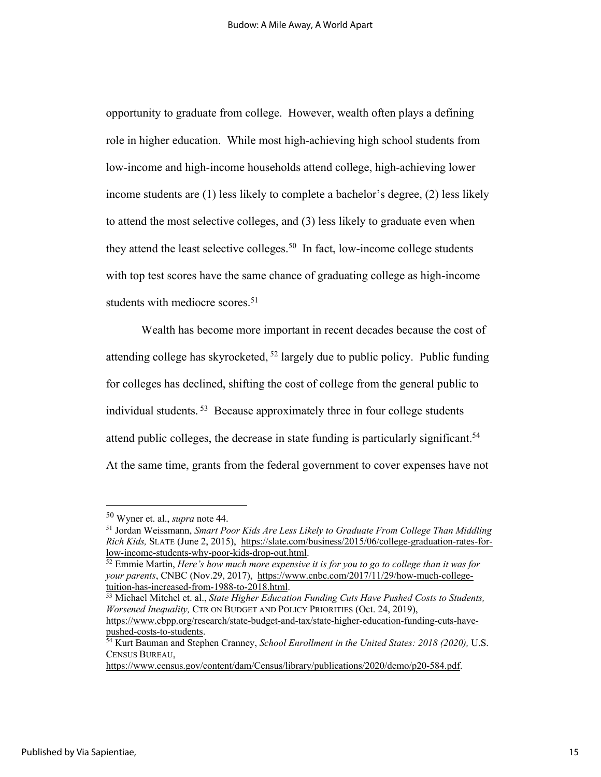opportunity to graduate from college. However, wealth often plays a defining role in higher education. While most high-achieving high school students from low-income and high-income households attend college, high-achieving lower income students are (1) less likely to complete a bachelor's degree, (2) less likely to attend the most selective colleges, and (3) less likely to graduate even when they attend the least selective colleges.<sup>50</sup> In fact, low-income college students with top test scores have the same chance of graduating college as high-income students with mediocre scores.<sup>51</sup>

Wealth has become more important in recent decades because the cost of attending college has skyrocketed, <sup>52</sup> largely due to public policy. Public funding for colleges has declined, shifting the cost of college from the general public to individual students. 53 Because approximately three in four college students attend public colleges, the decrease in state funding is particularly significant.<sup>54</sup> At the same time, grants from the federal government to cover expenses have not

<sup>50</sup> Wyner et. al., *supra* note 44.

<sup>51</sup> Jordan Weissmann, *Smart Poor Kids Are Less Likely to Graduate From College Than Middling Rich Kids,* SLATE (June 2, 2015), https://slate.com/business/2015/06/college-graduation-rates-forlow-income-students-why-poor-kids-drop-out.html. 52 Emmie Martin, *Here's how much more expensive it is for you to go to college than it was for* 

*your parents*, CNBC (Nov.29, 2017), https://www.cnbc.com/2017/11/29/how-much-collegetuition-has-increased-from-1988-to-2018.html. 53 Michael Mitchel et. al., *State Higher Education Funding Cuts Have Pushed Costs to Students,* 

*Worsened Inequality,* CTR ON BUDGET AND POLICY PRIORITIES (Oct. 24, 2019),

https://www.cbpp.org/research/state-budget-and-tax/state-higher-education-funding-cuts-have-

<sup>&</sup>lt;sup>54</sup> Kurt Bauman and Stephen Cranney, *School Enrollment in the United States: 2018 (2020), U.S.* CENSUS BUREAU,

https://www.census.gov/content/dam/Census/library/publications/2020/demo/p20-584.pdf.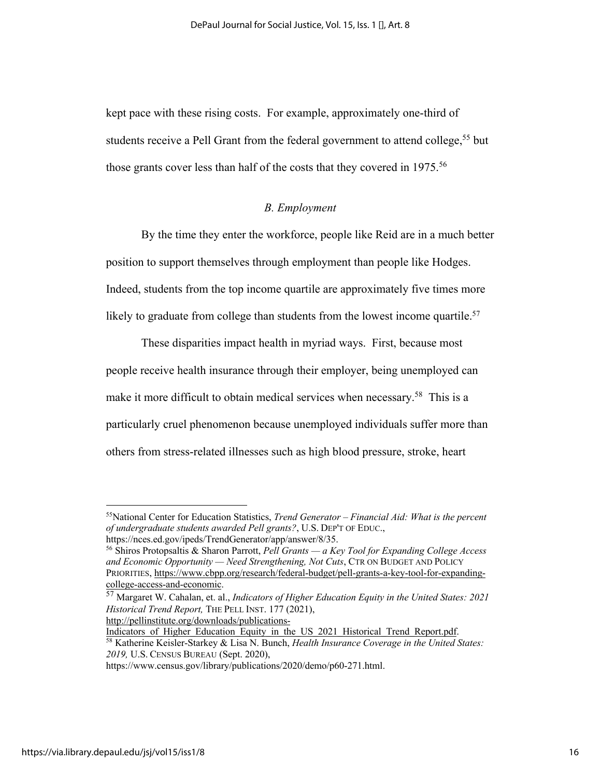kept pace with these rising costs. For example, approximately one-third of students receive a Pell Grant from the federal government to attend college,<sup>55</sup> but those grants cover less than half of the costs that they covered in 1975.<sup>56</sup>

#### *B. Employment*

By the time they enter the workforce, people like Reid are in a much better position to support themselves through employment than people like Hodges. Indeed, students from the top income quartile are approximately five times more likely to graduate from college than students from the lowest income quartile.<sup>57</sup>

These disparities impact health in myriad ways. First, because most people receive health insurance through their employer, being unemployed can make it more difficult to obtain medical services when necessary.<sup>58</sup> This is a particularly cruel phenomenon because unemployed individuals suffer more than others from stress-related illnesses such as high blood pressure, stroke, heart

http://pellinstitute.org/downloads/publications-

<sup>55</sup>National Center for Education Statistics, *Trend Generator – Financial Aid: What is the percent of undergraduate students awarded Pell grants?*, U.S. DEP'T OF EDUC., https://nces.ed.gov/ipeds/TrendGenerator/app/answer/8/35.

<sup>56</sup> Shiros Protopsaltis & Sharon Parrott, *Pell Grants — a Key Tool for Expanding College Access and Economic Opportunity — Need Strengthening, Not Cuts*, CTR ON BUDGET AND POLICY PRIORITIES, https://www.cbpp.org/research/federal-budget/pell-grants-a-key-tool-for-expandingcollege-access-and-economic.

<sup>57</sup> Margaret W. Cahalan, et. al., *Indicators of Higher Education Equity in the United States: 2021 Historical Trend Report,* THE PELL INST. 177 (2021),

Indicators of Higher Education Equity in the US 2021 Historical Trend Report.pdf. <sup>58</sup> Katherine Keisler-Starkey & Lisa N. Bunch, *Health Insurance Coverage in the United States: 2019,* U.S. CENSUS BUREAU (Sept. 2020),

https://www.census.gov/library/publications/2020/demo/p60-271.html.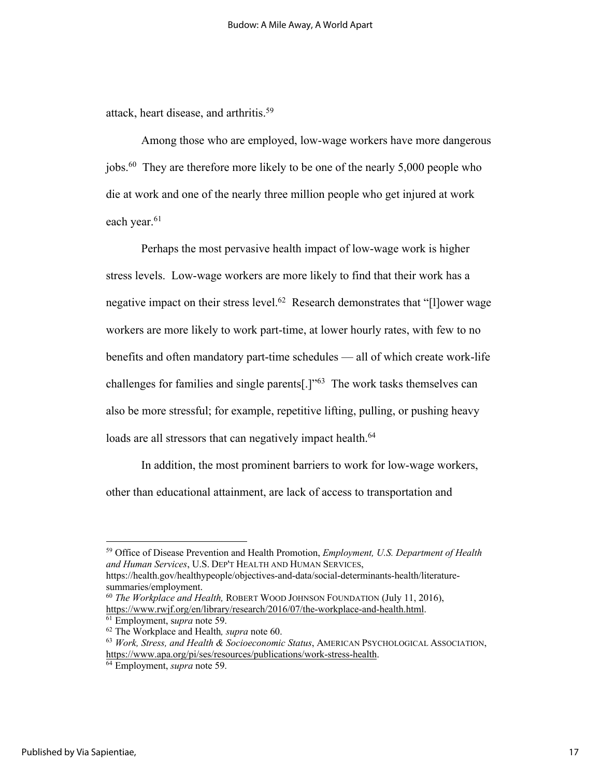attack, heart disease, and arthritis.<sup>59</sup>

Among those who are employed, low-wage workers have more dangerous jobs.60 They are therefore more likely to be one of the nearly 5,000 people who die at work and one of the nearly three million people who get injured at work each year.<sup>61</sup>

Perhaps the most pervasive health impact of low-wage work is higher stress levels. Low-wage workers are more likely to find that their work has a negative impact on their stress level.62 Research demonstrates that "[l]ower wage workers are more likely to work part-time, at lower hourly rates, with few to no benefits and often mandatory part-time schedules — all of which create work-life challenges for families and single parents[.]"63 The work tasks themselves can also be more stressful; for example, repetitive lifting, pulling, or pushing heavy loads are all stressors that can negatively impact health.<sup>64</sup>

In addition, the most prominent barriers to work for low-wage workers, other than educational attainment, are lack of access to transportation and

https://health.gov/healthypeople/objectives-and-data/social-determinants-health/literaturesummaries/employment.

<sup>59</sup> Office of Disease Prevention and Health Promotion, *Employment, U.S. Department of Health and Human Services*, U.S. DEP'T HEALTH AND HUMAN SERVICES,

<sup>60</sup> *The Workplace and Health,* ROBERT WOOD JOHNSON FOUNDATION (July 11, 2016), https://www.rwjf.org/en/library/research/2016/07/the-workplace-and-health.html. 61 Employment, s*upra* note 59. 62 The Workplace and Health*, supra* note 60.

<sup>63</sup> *Work, Stress, and Health & Socioeconomic Status*, AMERICAN PSYCHOLOGICAL ASSOCIATION, https://www.apa.org/pi/ses/resources/publications/work-stress-health. 64 Employment, *supra* note 59.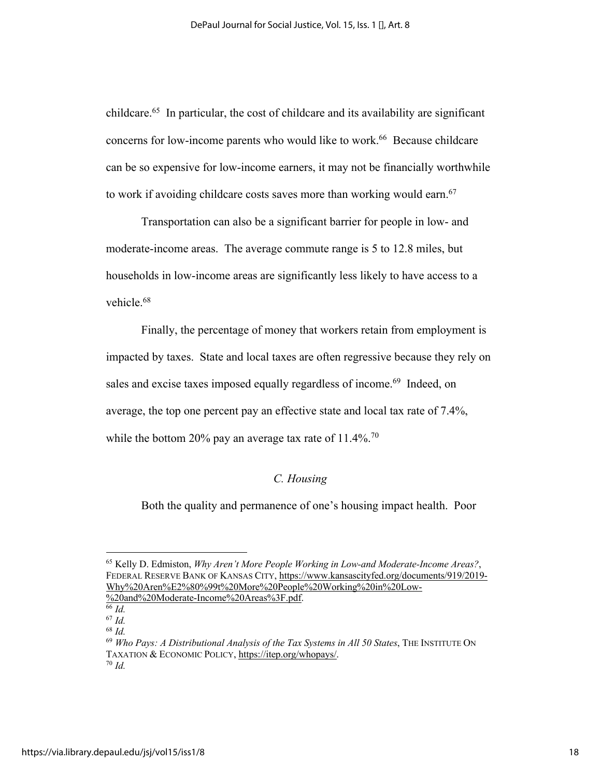childcare.65 In particular, the cost of childcare and its availability are significant concerns for low-income parents who would like to work.<sup>66</sup> Because childcare can be so expensive for low-income earners, it may not be financially worthwhile to work if avoiding childcare costs saves more than working would earn.<sup>67</sup>

Transportation can also be a significant barrier for people in low- and moderate-income areas. The average commute range is 5 to 12.8 miles, but households in low-income areas are significantly less likely to have access to a vehicle.<sup>68</sup>

Finally, the percentage of money that workers retain from employment is impacted by taxes. State and local taxes are often regressive because they rely on sales and excise taxes imposed equally regardless of income.<sup>69</sup> Indeed, on average, the top one percent pay an effective state and local tax rate of 7.4%, while the bottom 20% pay an average tax rate of  $11.4\%$ .<sup>70</sup>

#### *C. Housing*

Both the quality and permanence of one's housing impact health. Poor

<sup>65</sup> Kelly D. Edmiston, *Why Aren't More People Working in Low-and Moderate-Income Areas?*, FEDERAL RESERVE BANK OF KANSAS CITY, https://www.kansascityfed.org/documents/919/2019- Why%20Aren%E2%80%99t%20More%20People%20Working%20in%20Low- %20and%20Moderate-Income%20Areas%3F.pdf.

<sup>66</sup> *Id.*

<sup>67</sup> *Id.*

<sup>68</sup> *Id.*

<sup>69</sup> *Who Pays: A Distributional Analysis of the Tax Systems in All 50 States*, THE INSTITUTE ON TAXATION & ECONOMIC POLICY, https://itep.org/whopays/. <sup>70</sup> *Id.*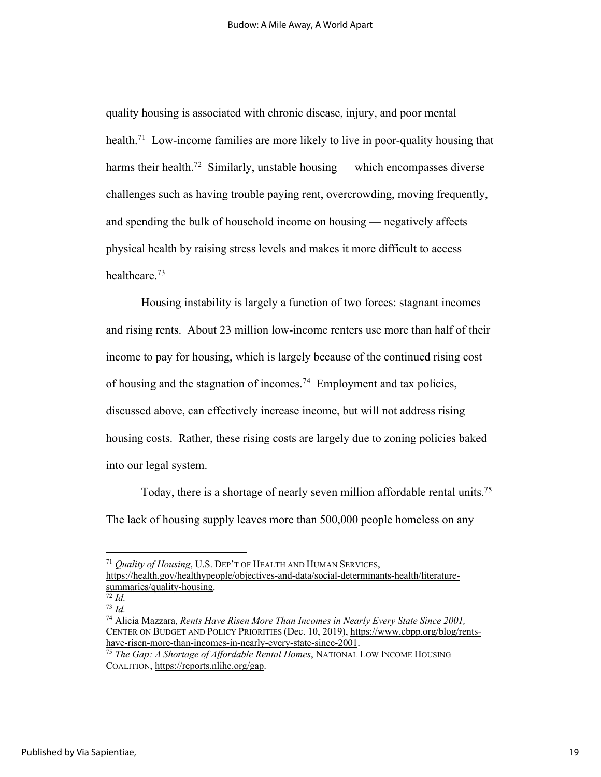quality housing is associated with chronic disease, injury, and poor mental health.<sup>71</sup> Low-income families are more likely to live in poor-quality housing that harms their health.<sup>72</sup> Similarly, unstable housing — which encompasses diverse challenges such as having trouble paying rent, overcrowding, moving frequently, and spending the bulk of household income on housing — negatively affects physical health by raising stress levels and makes it more difficult to access healthcare.73

Housing instability is largely a function of two forces: stagnant incomes and rising rents. About 23 million low-income renters use more than half of their income to pay for housing, which is largely because of the continued rising cost of housing and the stagnation of incomes.<sup>74</sup> Employment and tax policies, discussed above, can effectively increase income, but will not address rising housing costs. Rather, these rising costs are largely due to zoning policies baked into our legal system.

Today, there is a shortage of nearly seven million affordable rental units.75 The lack of housing supply leaves more than 500,000 people homeless on any

<sup>71</sup> *Quality of Housing*, U.S. DEP'T OF HEALTH AND HUMAN SERVICES,

https://health.gov/healthypeople/objectives-and-data/social-determinants-health/literaturesummaries/quality-housing.

<sup>73</sup> *Id.*

<sup>74</sup> Alicia Mazzara, *Rents Have Risen More Than Incomes in Nearly Every State Since 2001,* CENTER ON BUDGET AND POLICY PRIORITIES (Dec. 10, 2019), https://www.cbpp.org/blog/rents-<br>have-risen-more-than-incomes-in-nearly-every-state-since-2001.

<sup>&</sup>lt;sup>75</sup> The Gap: A Shortage of Affordable Rental Homes, NATIONAL LOW INCOME HOUSING COALITION, https://reports.nlihc.org/gap.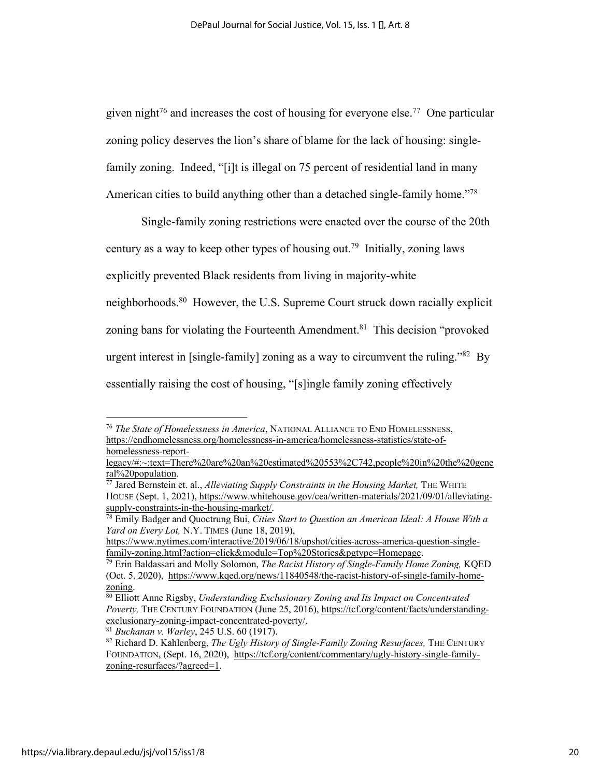given night<sup>76</sup> and increases the cost of housing for everyone else.<sup>77</sup> One particular zoning policy deserves the lion's share of blame for the lack of housing: singlefamily zoning. Indeed, "[i]t is illegal on 75 percent of residential land in many American cities to build anything other than a detached single-family home.<sup>778</sup>

Single-family zoning restrictions were enacted over the course of the 20th century as a way to keep other types of housing out.<sup>79</sup> Initially, zoning laws explicitly prevented Black residents from living in majority-white neighborhoods.<sup>80</sup> However, the U.S. Supreme Court struck down racially explicit zoning bans for violating the Fourteenth Amendment.<sup>81</sup> This decision "provoked" urgent interest in [single-family] zoning as a way to circumvent the ruling."82 By essentially raising the cost of housing, "[s]ingle family zoning effectively

<sup>76</sup> *The State of Homelessness in America*, NATIONAL ALLIANCE TO END HOMELESSNESS, https://endhomelessness.org/homelessness-in-america/homelessness-statistics/state-ofhomelessness-report-

legacy/#:~:text=There%20are%20an%20estimated%20553%2C742,people%20in%20the%20gene

ral%20population.<br><sup>77</sup> Jared Bernstein et. al., *Alleviating Supply Constraints in the Housing Market*, THE WHITE HOUSE (Sept. 1, 2021), https://www.whitehouse.gov/cea/written-materials/2021/09/01/alleviating-<br>supply-constraints-in-the-housing-market/.

<sup>&</sup>lt;sup>78</sup> Emily Badger and Quoctrung Bui, *Cities Start to Question an American Ideal: A House With a Yard on Every Lot,* N.Y. TIMES (June 18, 2019),

https://www.nytimes.com/interactive/2019/06/18/upshot/cities-across-america-question-single-<br>family-zoning.html?action=click&module=Top%20Stories&pgtype=Homepage.

<sup>&</sup>lt;sup>79</sup> Erin Baldassari and Molly Solomon, *The Racist History of Single-Family Home Zoning*, KQED (Oct. 5, 2020), https://www.kqed.org/news/11840548/the-racist-history-of-single-family-homezoning.<br><sup>80</sup> Elliott Anne Rigsby, *Understanding Exclusionary Zoning and Its Impact on Concentrated* 

*Poverty,* THE CENTURY FOUNDATION (June 25, 2016), https://tcf.org/content/facts/understandingexclusionary-zoning-impact-concentrated-poverty/. 81 *Buchanan v. Warley*, 245 U.S. 60 (1917).

<sup>82</sup> Richard D. Kahlenberg, *The Ugly History of Single-Family Zoning Resurfaces,* THE CENTURY FOUNDATION, (Sept. 16, 2020), https://tcf.org/content/commentary/ugly-history-single-familyzoning-resurfaces/?agreed=1.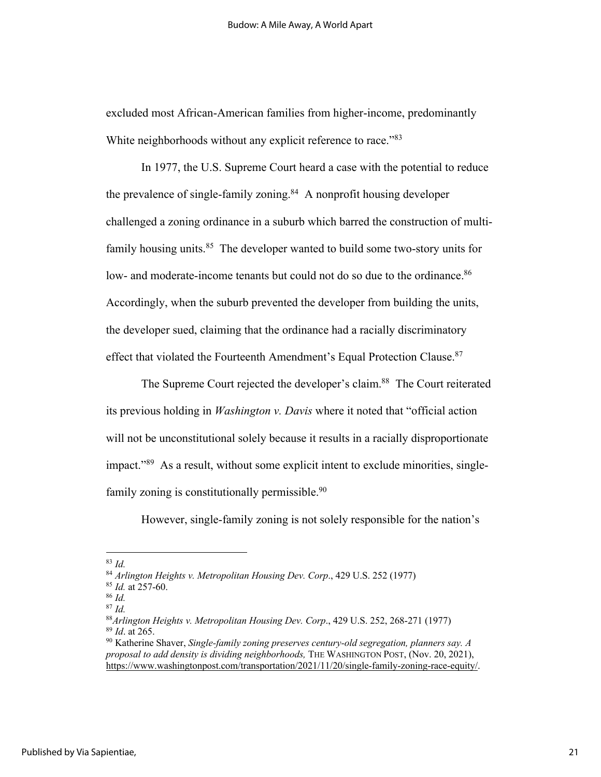excluded most African-American families from higher-income, predominantly White neighborhoods without any explicit reference to race."<sup>83</sup>

In 1977, the U.S. Supreme Court heard a case with the potential to reduce the prevalence of single-family zoning. $84$  A nonprofit housing developer challenged a zoning ordinance in a suburb which barred the construction of multifamily housing units. $85$  The developer wanted to build some two-story units for low- and moderate-income tenants but could not do so due to the ordinance.<sup>86</sup> Accordingly, when the suburb prevented the developer from building the units, the developer sued, claiming that the ordinance had a racially discriminatory effect that violated the Fourteenth Amendment's Equal Protection Clause.<sup>87</sup>

The Supreme Court rejected the developer's claim.<sup>88</sup> The Court reiterated its previous holding in *Washington v. Davis* where it noted that "official action will not be unconstitutional solely because it results in a racially disproportionate impact."89 As a result, without some explicit intent to exclude minorities, singlefamily zoning is constitutionally permissible.<sup>90</sup>

However, single-family zoning is not solely responsible for the nation's

<sup>83</sup> *Id.*

<sup>84</sup> *Arlington Heights v. Metropolitan Housing Dev. Corp*., 429 U.S. 252 (1977)

<sup>85</sup> *Id.* at 257-60.

<sup>86</sup> *Id.* <sup>87</sup> *Id.*

<sup>88</sup>*Arlington Heights v. Metropolitan Housing Dev. Corp*., 429 U.S. 252, 268-271 (1977) <sup>89</sup> *Id*. at 265.

<sup>90</sup> Katherine Shaver, *Single-family zoning preserves century-old segregation, planners say. A proposal to add density is dividing neighborhoods,* THE WASHINGTON POST, (Nov. 20, 2021), https://www.washingtonpost.com/transportation/2021/11/20/single-family-zoning-race-equity/.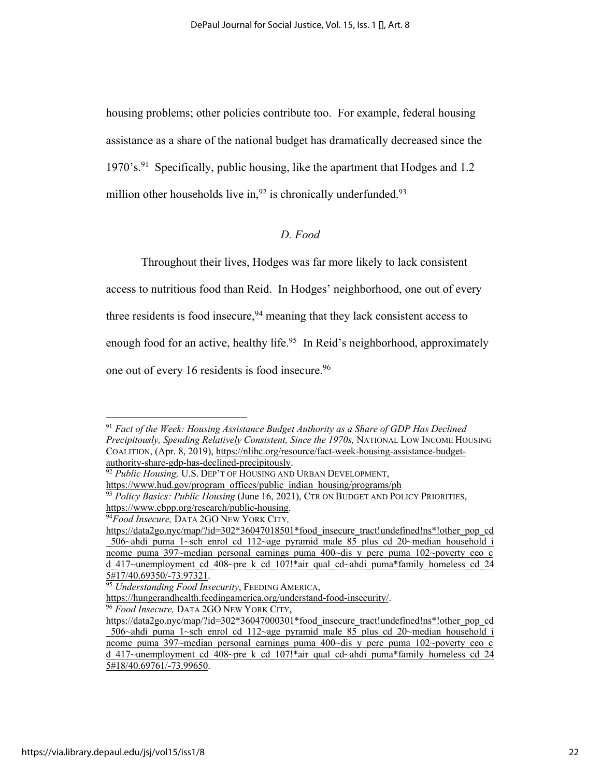housing problems; other policies contribute too. For example, federal housing assistance as a share of the national budget has dramatically decreased since the 1970's.91 Specifically, public housing, like the apartment that Hodges and 1.2 million other households live in,  $92$  is chronically underfunded.  $93$ 

# *D. Food*

Throughout their lives, Hodges was far more likely to lack consistent access to nutritious food than Reid. In Hodges' neighborhood, one out of every three residents is food insecure,  $94$  meaning that they lack consistent access to enough food for an active, healthy life.<sup>95</sup> In Reid's neighborhood, approximately one out of every 16 residents is food insecure.<sup>96</sup>

<sup>91</sup> *Fact of the Week: Housing Assistance Budget Authority as a Share of GDP Has Declined Precipitously, Spending Relatively Consistent, Since the 1970s,* NATIONAL LOW INCOME HOUSING COALITION, (Apr. 8, 2019), https://nlihc.org/resource/fact-week-housing-assistance-budgetauthority-share-gdp-has-declined-precipitously.

<sup>92</sup> *Public Housing,* U.S. DEP'T OF HOUSING AND URBAN DEVELOPMENT,

https://www.hud.gov/program\_offices/public\_indian\_housing/programs/ph

<sup>93</sup> *Policy Basics: Public Housing* (June 16, 2021), CTR ON BUDGET AND POLICY PRIORITIES, https://www.cbpp.org/research/public-housing. 94*Food Insecure,* DATA 2GO NEW YORK CITY*,* 

https://data2go.nyc/map/?id=302\*36047018501\*food\_insecure\_tract!undefined!ns\*!other\_pop\_cd 506~ahdi puma 1~sch\_enrol\_cd\_112~age\_pyramid\_male\_85\_plus\_cd\_20~median\_household\_i ncome puma 397~median personal earnings puma 400~dis y perc puma  $102$ ~poverty ceo c d\_417~unemployment\_cd\_408~pre\_k\_cd\_107!\*air\_qual\_cd~ahdi\_puma\*family\_homeless\_cd\_24<br>5#17/40.69350/-73.97321.

<sup>&</sup>lt;sup>95</sup> Understanding Food Insecurity, FEEDING AMERICA,

https://hungerandhealth.feedingamerica.org/understand-food-insecurity/. 96 *Food Insecure,* DATA 2GO NEW YORK CITY,

https://data2go.nyc/map/?id=302\*36047000301\*food\_insecure\_tract!undefined!ns\*!other\_pop\_cd \_506~ahdi\_puma\_1~sch\_enrol\_cd\_112~age\_pyramid\_male\_85\_plus\_cd\_20~median\_household\_i ncome puma 397~median personal earnings puma 400~dis y perc puma 102~poverty ceo c d 417~unemployment cd  $\overline{408}$ ~pre k cd  $107!$ \*air qual cd~ahdi puma\*family homeless cd 24 5#18/40.69761/-73.99650.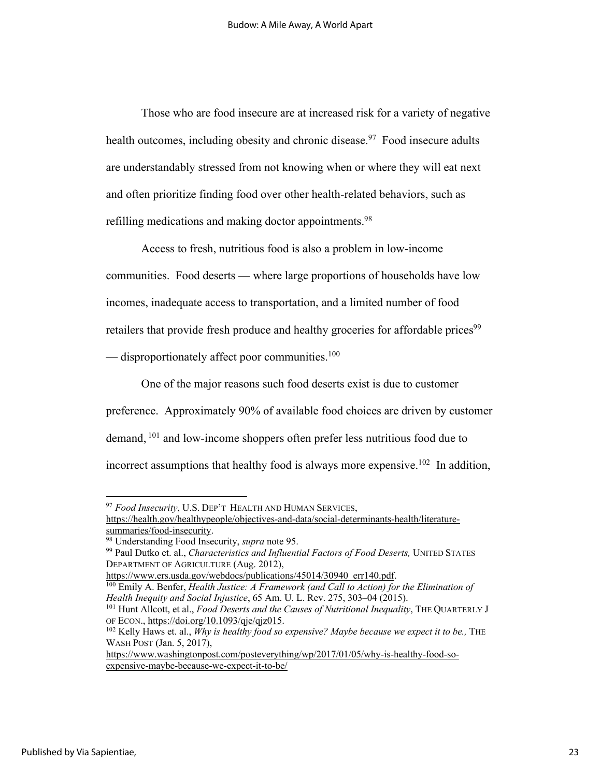Those who are food insecure are at increased risk for a variety of negative health outcomes, including obesity and chronic disease.<sup>97</sup> Food insecure adults are understandably stressed from not knowing when or where they will eat next and often prioritize finding food over other health-related behaviors, such as refilling medications and making doctor appointments.<sup>98</sup>

Access to fresh, nutritious food is also a problem in low-income

communities. Food deserts — where large proportions of households have low

incomes, inadequate access to transportation, and a limited number of food

retailers that provide fresh produce and healthy groceries for affordable prices<sup>99</sup>

 $-$  disproportionately affect poor communities.<sup>100</sup>

One of the major reasons such food deserts exist is due to customer preference. Approximately 90% of available food choices are driven by customer demand, <sup>101</sup> and low-income shoppers often prefer less nutritious food due to incorrect assumptions that healthy food is always more expensive.<sup>102</sup> In addition,

https://www.ers.usda.gov/webdocs/publications/45014/30940\_err140.pdf.<br><sup>100</sup> Emily A. Benfer, *Health Justice: A Framework (and Call to Action) for the Elimination of Health Inequity and Social Injustice*, 65 Am. U. L. Rev. 275, 303–04 (2015).<br><sup>101</sup> Hunt Allcott, et al., *Food Deserts and the Causes of Nutritional Inequality*, THE QUARTERLY J

https://www.washingtonpost.com/posteverything/wp/2017/01/05/why-is-healthy-food-soexpensive-maybe-because-we-expect-it-to-be/

<sup>97</sup> *Food Insecurity*, U.S. DEP'T HEALTH AND HUMAN SERVICES,

https://health.gov/healthypeople/objectives-and-data/social-determinants-health/literature-

<sup>&</sup>lt;sup>98</sup> Understanding Food Insecurity, *supra* note 95. <sup>99</sup> Paul Dutko et. al., *Characteristics and Influential Factors of Food Deserts*, UNITED STATES DEPARTMENT OF AGRICULTURE (Aug. 2012),

OF ECON., https://doi.org/10.1093/qje/qjz015.<br><sup>102</sup> Kelly Haws et. al., *Why is healthy food so expensive? Maybe because we expect it to be.*, THE

WASH POST (Jan. 5, 2017),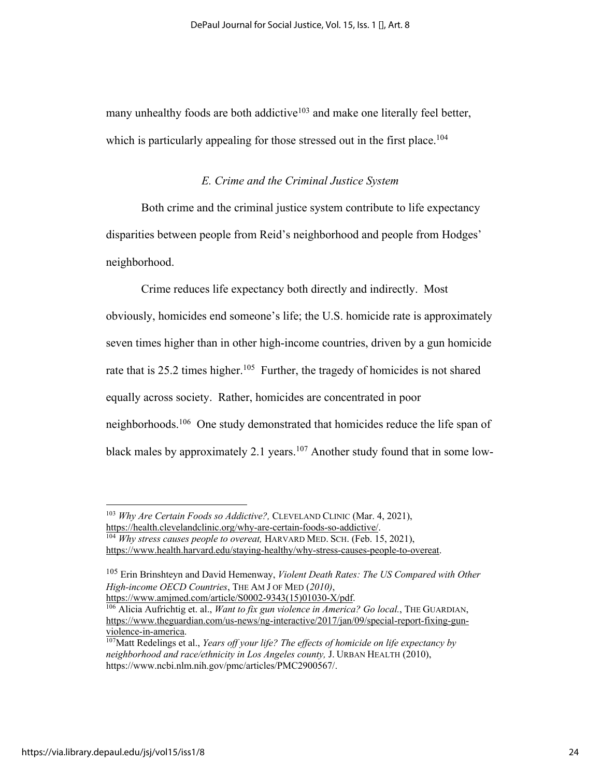many unhealthy foods are both addictive<sup>103</sup> and make one literally feel better, which is particularly appealing for those stressed out in the first place.<sup>104</sup>

#### *E. Crime and the Criminal Justice System*

Both crime and the criminal justice system contribute to life expectancy disparities between people from Reid's neighborhood and people from Hodges' neighborhood.

Crime reduces life expectancy both directly and indirectly. Most obviously, homicides end someone's life; the U.S. homicide rate is approximately seven times higher than in other high-income countries, driven by a gun homicide rate that is 25.2 times higher.<sup>105</sup> Further, the tragedy of homicides is not shared equally across society. Rather, homicides are concentrated in poor neighborhoods.106 One study demonstrated that homicides reduce the life span of black males by approximately 2.1 years.<sup>107</sup> Another study found that in some low-

<sup>103</sup> *Why Are Certain Foods so Addictive?,* CLEVELAND CLINIC (Mar. 4, 2021), https://health.clevelandclinic.org/why-are-certain-foods-so-addictive/. 104 *Why stress causes people to overeat,* HARVARD MED. SCH. (Feb. 15, 2021),

https://www.health.harvard.edu/staying-healthy/why-stress-causes-people-to-overeat.

<sup>105</sup> Erin Brinshteyn and David Hemenway, *Violent Death Rates: The US Compared with Other High-income OECD Countries*, THE AM J OF MED (2010),<br>https://www.amjmed.com/article/S0002-9343(15)01030-X/pdf.

<sup>&</sup>lt;sup>106</sup> Alicia Aufrichtig et. al., *Want to fix gun violence in America? Go local.*, THE GUARDIAN, https://www.theguardian.com/us-news/ng-interactive/2017/jan/09/special-report-fixing-gunviolence-in-america.<br><sup>107</sup>Matt Redelings et al., *Years off your life? The effects of homicide on life expectancy by* 

*neighborhood and race/ethnicity in Los Angeles county,* J. URBAN HEALTH (2010), https://www.ncbi.nlm.nih.gov/pmc/articles/PMC2900567/.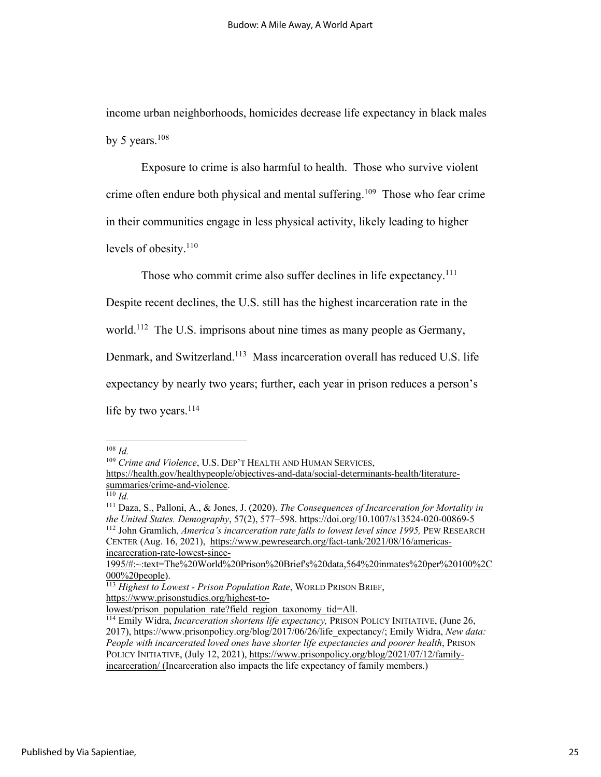income urban neighborhoods, homicides decrease life expectancy in black males by 5 years. $108$ 

Exposure to crime is also harmful to health. Those who survive violent crime often endure both physical and mental suffering.<sup>109</sup> Those who fear crime in their communities engage in less physical activity, likely leading to higher levels of obesity.<sup>110</sup>

Those who commit crime also suffer declines in life expectancy.<sup>111</sup>

Despite recent declines, the U.S. still has the highest incarceration rate in the

world.<sup>112</sup> The U.S. imprisons about nine times as many people as Germany,

Denmark, and Switzerland.113 Mass incarceration overall has reduced U.S. life

expectancy by nearly two years; further, each year in prison reduces a person's

life by two years. $114$ 

<sup>109</sup> *Crime and Violence*, U.S. DEP'T HEALTH AND HUMAN SERVICES,

<sup>108</sup> *Id.*

https://health.gov/healthypeople/objectives-and-data/social-determinants-health/literaturesummaries/crime-and-violence.

 $\overline{^{110}}$  *Id.* 

<sup>111</sup> Daza, S., Palloni, A., & Jones, J. (2020). *The Consequences of Incarceration for Mortality in the United States. Demography*, 57(2), 577–598. https://doi.org/10.1007/s13524-020-00869-5 <sup>112</sup> John Gramlich, *America's incarceration rate falls to lowest level since 1995,* PEW RESEARCH CENTER (Aug. 16, 2021), https://www.pewresearch.org/fact-tank/2021/08/16/americasincarceration-rate-lowest-since-

<sup>1995/#:~:</sup>text=The%20World%20Prison%20Brief's%20data,564%20inmates%20per%20100%2C

<sup>000%20</sup>people). 113 *Highest to Lowest - Prison Population Rate*, WORLD PRISON BRIEF, https://www.prisonstudies.org/highest-to-

lowest/prison\_population\_rate?field\_region\_taxonomy\_tid=All. 114 Emily Widra, *Incarceration shortens life expectancy,* PRISON POLICY INITIATIVE, (June 26, 2017), https://www.prisonpolicy.org/blog/2017/06/26/life\_expectancy/; Emily Widra, *New data: People with incarcerated loved ones have shorter life expectancies and poorer health*, PRISON POLICY INITIATIVE, (July 12, 2021), https://www.prisonpolicy.org/blog/2021/07/12/familyincarceration/ (Incarceration also impacts the life expectancy of family members.)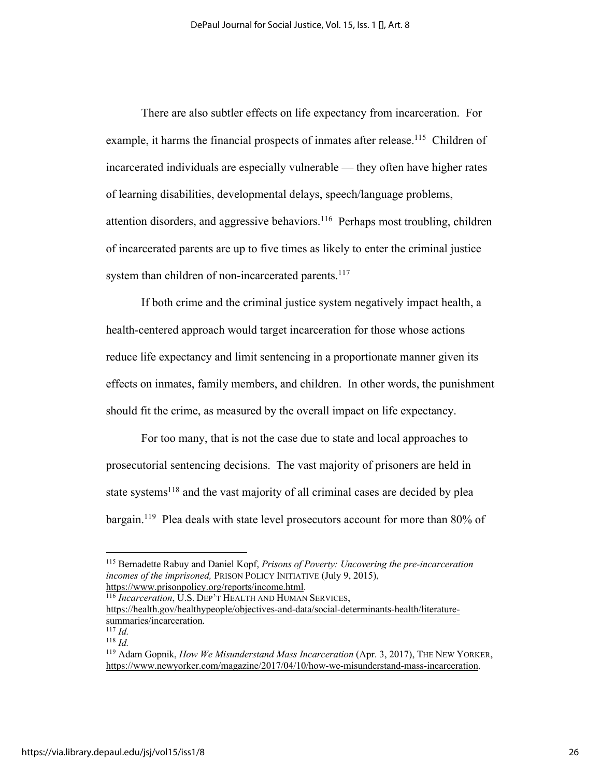There are also subtler effects on life expectancy from incarceration. For example, it harms the financial prospects of inmates after release.<sup>115</sup> Children of incarcerated individuals are especially vulnerable — they often have higher rates of learning disabilities, developmental delays, speech/language problems, attention disorders, and aggressive behaviors.116 Perhaps most troubling, children of incarcerated parents are up to five times as likely to enter the criminal justice system than children of non-incarcerated parents.<sup>117</sup>

If both crime and the criminal justice system negatively impact health, a health-centered approach would target incarceration for those whose actions reduce life expectancy and limit sentencing in a proportionate manner given its effects on inmates, family members, and children. In other words, the punishment should fit the crime, as measured by the overall impact on life expectancy.

For too many, that is not the case due to state and local approaches to prosecutorial sentencing decisions. The vast majority of prisoners are held in state systems<sup>118</sup> and the vast majority of all criminal cases are decided by plea bargain.<sup>119</sup> Plea deals with state level prosecutors account for more than 80% of

<sup>115</sup> Bernadette Rabuy and Daniel Kopf, *Prisons of Poverty: Uncovering the pre-incarceration incomes of the imprisoned,* PRISON POLICY INITIATIVE (July 9, 2015), https://www.prisonpolicy.org/reports/income.html.

<sup>116</sup> *Incarceration*, U.S. DEP'T HEALTH AND HUMAN SERVICES,

https://health.gov/healthypeople/objectives-and-data/social-determinants-health/literaturesummaries/incarceration.

 $\overline{\overline{117}}$  *Id.* <sup>118</sup> *Id.*

<sup>119</sup> Adam Gopnik, *How We Misunderstand Mass Incarceration* (Apr. 3, 2017), THE NEW YORKER, https://www.newyorker.com/magazine/2017/04/10/how-we-misunderstand-mass-incarceration.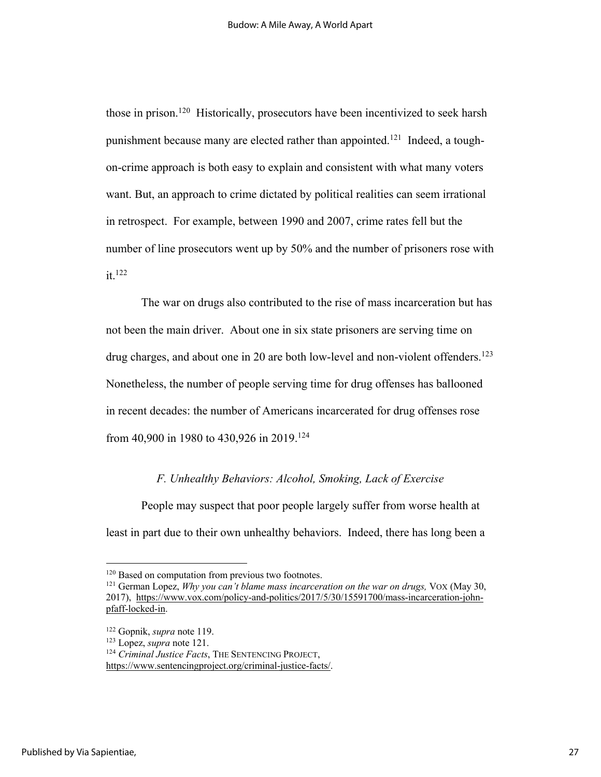those in prison.<sup>120</sup> Historically, prosecutors have been incentivized to seek harsh punishment because many are elected rather than appointed.<sup>121</sup> Indeed, a toughon-crime approach is both easy to explain and consistent with what many voters want. But, an approach to crime dictated by political realities can seem irrational in retrospect. For example, between 1990 and 2007, crime rates fell but the number of line prosecutors went up by 50% and the number of prisoners rose with it.122

The war on drugs also contributed to the rise of mass incarceration but has not been the main driver. About one in six state prisoners are serving time on drug charges, and about one in 20 are both low-level and non-violent offenders.<sup>123</sup> Nonetheless, the number of people serving time for drug offenses has ballooned in recent decades: the number of Americans incarcerated for drug offenses rose from 40,900 in 1980 to 430,926 in 2019.124

#### *F. Unhealthy Behaviors: Alcohol, Smoking, Lack of Exercise*

People may suspect that poor people largely suffer from worse health at least in part due to their own unhealthy behaviors. Indeed, there has long been a

<sup>&</sup>lt;sup>120</sup> Based on computation from previous two footnotes.

<sup>121</sup> German Lopez, *Why you can't blame mass incarceration on the war on drugs,* VOX (May 30, 2017), https://www.vox.com/policy-and-politics/2017/5/30/15591700/mass-incarceration-johnpfaff-locked-in.

<sup>122</sup> Gopnik, *supra* note 119. 123 Lopez, *supra* note 121.

<sup>124</sup> *Criminal Justice Facts*, THE SENTENCING PROJECT,

https://www.sentencingproject.org/criminal-justice-facts/.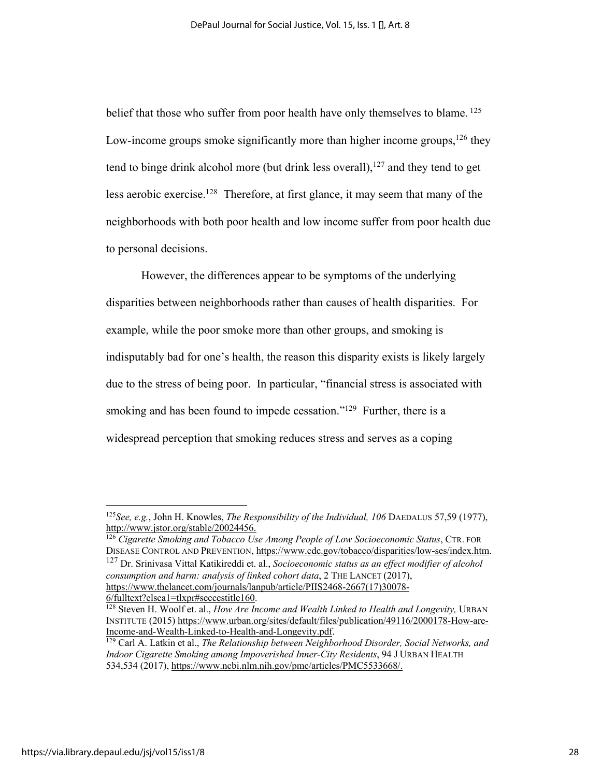belief that those who suffer from poor health have only themselves to blame.<sup>125</sup> Low-income groups smoke significantly more than higher income groups,  $126$  they tend to binge drink alcohol more (but drink less overall), $127$  and they tend to get less aerobic exercise.<sup>128</sup> Therefore, at first glance, it may seem that many of the neighborhoods with both poor health and low income suffer from poor health due to personal decisions.

However, the differences appear to be symptoms of the underlying disparities between neighborhoods rather than causes of health disparities. For example, while the poor smoke more than other groups, and smoking is indisputably bad for one's health, the reason this disparity exists is likely largely due to the stress of being poor. In particular, "financial stress is associated with smoking and has been found to impede cessation."<sup>129</sup> Further, there is a widespread perception that smoking reduces stress and serves as a coping

<sup>126</sup> *Cigarette Smoking and Tobacco Use Among People of Low Socioeconomic Status*, CTR. FOR DISEASE CONTROL AND PREVENTION, https://www.cdc.gov/tobacco/disparities/low-ses/index.htm. <sup>127</sup> Dr. Srinivasa Vittal Katikireddi et. al., *Socioeconomic status as an effect modifier of alcohol consumption and harm: analysis of linked cohort data*, 2 THE LANCET (2017), https://www.thelancet.com/journals/lanpub/article/PIIS2468-2667(17)30078-

<sup>125</sup>*See, e.g.*, John H. Knowles, *The Responsibility of the Individual, 106* DAEDALUS 57,59 (1977), http://www.jstor.org/stable/20024456.

<sup>6/</sup>fulltext?elsca1=tlxpr#seccestitle160. 128 Steven H. Woolf et. al., *How Are Income and Wealth Linked to Health and Longevity,* URBAN INSTITUTE (2015) https://www.urban.org/sites/default/files/publication/49116/2000178-How-are-Income-and-Wealth-Linked-to-Health-and-Longevity.pdf.

<sup>&</sup>lt;sup>129</sup> Carl A. Latkin et al., *The Relationship between Neighborhood Disorder, Social Networks, and Indoor Cigarette Smoking among Impoverished Inner-City Residents*, 94 J URBAN HEALTH 534,534 (2017), https://www.ncbi.nlm.nih.gov/pmc/articles/PMC5533668/.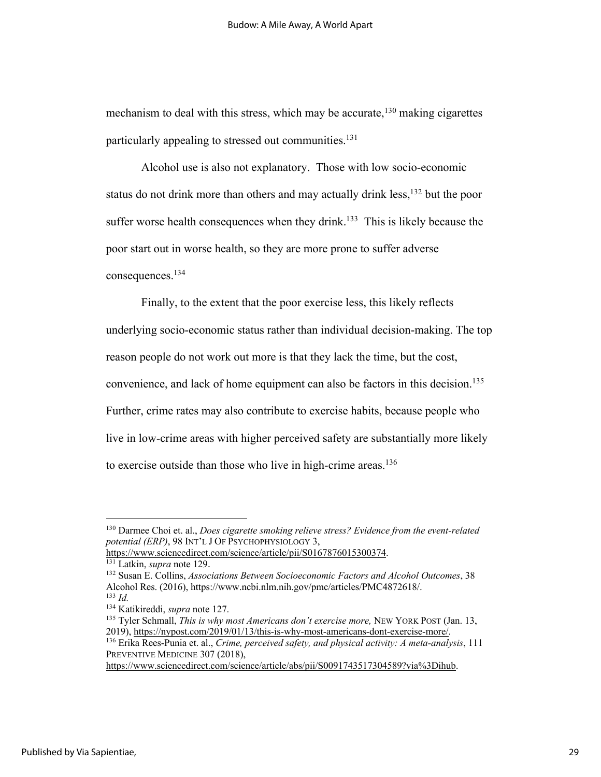mechanism to deal with this stress, which may be accurate,  $130$  making cigarettes particularly appealing to stressed out communities.<sup>131</sup>

Alcohol use is also not explanatory. Those with low socio-economic status do not drink more than others and may actually drink less,<sup>132</sup> but the poor suffer worse health consequences when they drink.<sup>133</sup> This is likely because the poor start out in worse health, so they are more prone to suffer adverse consequences.134

Finally, to the extent that the poor exercise less, this likely reflects underlying socio-economic status rather than individual decision-making. The top reason people do not work out more is that they lack the time, but the cost, convenience, and lack of home equipment can also be factors in this decision. 135 Further, crime rates may also contribute to exercise habits, because people who live in low-crime areas with higher perceived safety are substantially more likely to exercise outside than those who live in high-crime areas.<sup>136</sup>

<sup>130</sup> Darmee Choi et. al., *Does cigarette smoking relieve stress? Evidence from the event-related potential (ERP)*, 98 INT'L J OF PSYCHOPHYSIOLOGY 3,

https://www.sciencedirect.com/science/article/pii/S0167876015300374. <sup>131</sup> Latkin, *supra* note 129.

<sup>132</sup> Susan E. Collins, *Associations Between Socioeconomic Factors and Alcohol Outcomes*, 38 Alcohol Res. (2016), https://www.ncbi.nlm.nih.gov/pmc/articles/PMC4872618/. <sup>133</sup> *Id.*

<sup>134</sup> Katikireddi, *supra* note 127.

<sup>135</sup> Tyler Schmall, *This is why most Americans don't exercise more,* NEW YORK POST (Jan. 13, 2019), https://nypost.com/2019/01/13/this-is-why-most-americans-dont-exercise-more/.

<sup>136</sup> Erika Rees-Punia et. al., *Crime, perceived safety, and physical activity: A meta-analysis*, 111 PREVENTIVE MEDICINE 307 (2018).

https://www.sciencedirect.com/science/article/abs/pii/S0091743517304589?via%3Dihub.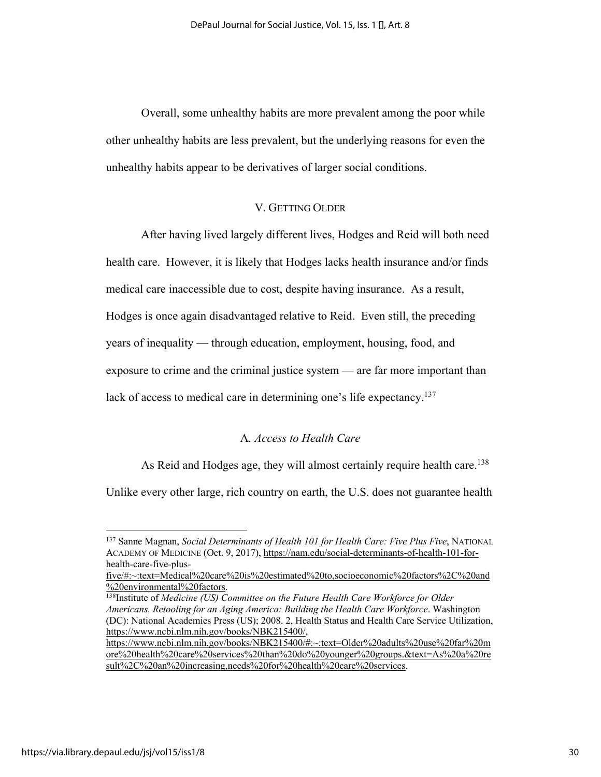Overall, some unhealthy habits are more prevalent among the poor while other unhealthy habits are less prevalent, but the underlying reasons for even the unhealthy habits appear to be derivatives of larger social conditions.

# V. GETTING OLDER

After having lived largely different lives, Hodges and Reid will both need health care. However, it is likely that Hodges lacks health insurance and/or finds medical care inaccessible due to cost, despite having insurance. As a result, Hodges is once again disadvantaged relative to Reid. Even still, the preceding years of inequality — through education, employment, housing, food, and exposure to crime and the criminal justice system — are far more important than lack of access to medical care in determining one's life expectancy.<sup>137</sup>

# A*. Access to Health Care*

As Reid and Hodges age, they will almost certainly require health care.<sup>138</sup>

Unlike every other large, rich country on earth, the U.S. does not guarantee health

<sup>137</sup> Sanne Magnan, *Social Determinants of Health 101 for Health Care: Five Plus Five*, NATIONAL ACADEMY OF MEDICINE (Oct. 9, 2017), https://nam.edu/social-determinants-of-health-101-forhealth-care-five-plus-

five/#:~:text=Medical%20care%20is%20estimated%20to,socioeconomic%20factors%2C%20and %20environmental%20factors.

<sup>138</sup>Institute of *Medicine (US) Committee on the Future Health Care Workforce for Older Americans. Retooling for an Aging America: Building the Health Care Workforce*. Washington (DC): National Academies Press (US); 2008. 2, Health Status and Health Care Service Utilization, https://www.ncbi.nlm.nih.gov/books/NBK215400/,

https://www.ncbi.nlm.nih.gov/books/NBK215400/#:~:text=Older%20adults%20use%20far%20m ore%20health%20care%20services%20than%20do%20younger%20groups.&text=As%20a%20re sult%2C%20an%20increasing,needs%20for%20health%20care%20services.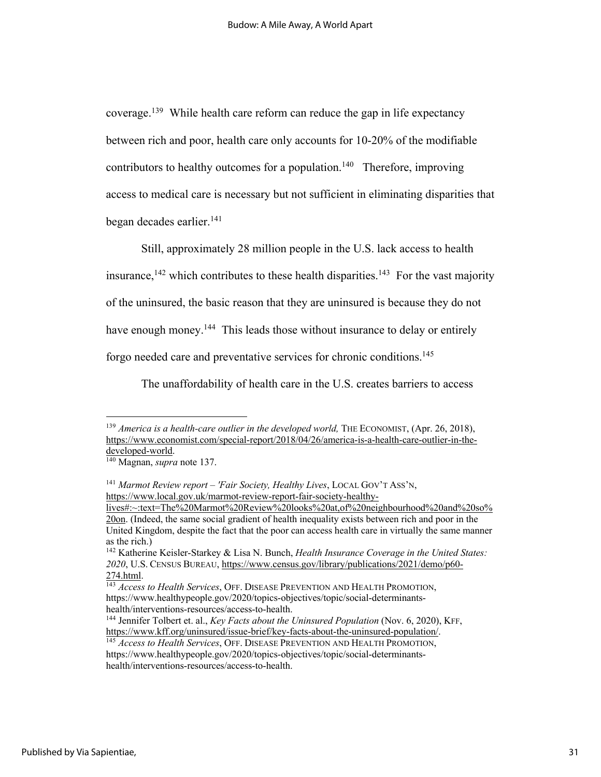coverage.139 While health care reform can reduce the gap in life expectancy between rich and poor, health care only accounts for 10-20% of the modifiable contributors to healthy outcomes for a population.<sup>140</sup> Therefore, improving access to medical care is necessary but not sufficient in eliminating disparities that began decades earlier.141

Still, approximately 28 million people in the U.S. lack access to health

insurance,  $142$  which contributes to these health disparities.  $143$  For the vast majority

of the uninsured, the basic reason that they are uninsured is because they do not

have enough money.<sup>144</sup> This leads those without insurance to delay or entirely

forgo needed care and preventative services for chronic conditions.145

The unaffordability of health care in the U.S. creates barriers to access

lives#:~:text=The%20Marmot%20Review%20looks%20at,of%20neighbourhood%20and%20so% 20on. (Indeed, the same social gradient of health inequality exists between rich and poor in the United Kingdom, despite the fact that the poor can access health care in virtually the same manner as the rich.)

<sup>&</sup>lt;sup>139</sup> America is a health-care outlier in the developed world, THE ECONOMIST, (Apr. 26, 2018), https://www.economist.com/special-report/2018/04/26/america-is-a-health-care-outlier-in-the-

<sup>&</sup>lt;sup>140</sup> Magnan, *supra* note 137.

<sup>141</sup> *Marmot Review report – 'Fair Society, Healthy Lives*, LOCAL GOV'T ASS'N, https://www.local.gov.uk/marmot-review-report-fair-society-healthy-

<sup>142</sup> Katherine Keisler-Starkey & Lisa N. Bunch, *Health Insurance Coverage in the United States: 2020*, U.S. CENSUS BUREAU, https://www.census.gov/library/publications/2021/demo/p60-

<sup>274.</sup>html. 143 *Access to Health Services*, OFF. DISEASE PREVENTION AND HEALTH PROMOTION, https://www.healthypeople.gov/2020/topics-objectives/topic/social-determinants-

health/interventions-resources/access-to-health.<br><sup>144</sup> Jennifer Tolbert et. al., *Key Facts about the Uninsured Population* (Nov. 6, 2020), KFF,<br>https://www.kff.org/uninsured/issue-brief/key-facts-about-the-uninsured-popul

<sup>145</sup> *Access to Health Services*, OFF. DISEASE PREVENTION AND HEALTH PROMOTION, https://www.healthypeople.gov/2020/topics-objectives/topic/social-determinantshealth/interventions-resources/access-to-health.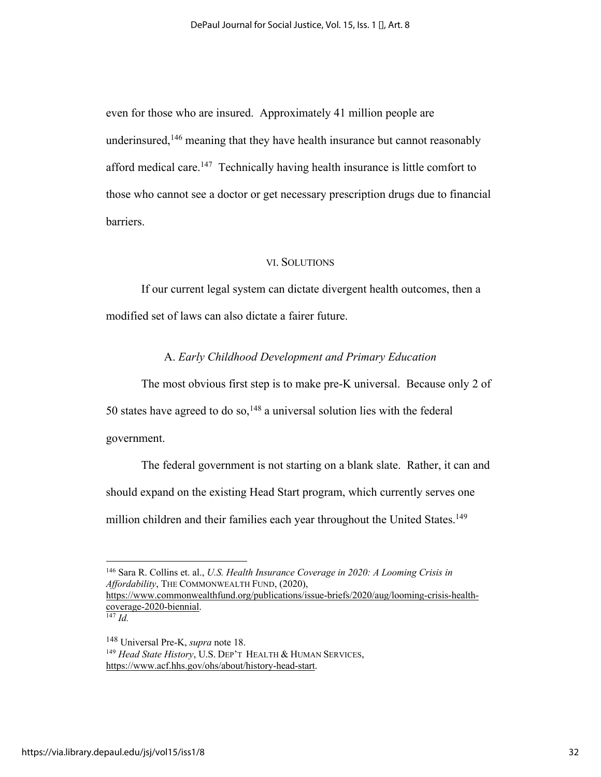even for those who are insured. Approximately 41 million people are underinsured,<sup>146</sup> meaning that they have health insurance but cannot reasonably afford medical care.<sup>147</sup> Technically having health insurance is little comfort to those who cannot see a doctor or get necessary prescription drugs due to financial barriers.

#### VI. SOLUTIONS

If our current legal system can dictate divergent health outcomes, then a modified set of laws can also dictate a fairer future.

# A. *Early Childhood Development and Primary Education*

The most obvious first step is to make pre-K universal. Because only 2 of 50 states have agreed to do so,<sup>148</sup> a universal solution lies with the federal government.

The federal government is not starting on a blank slate. Rather, it can and should expand on the existing Head Start program, which currently serves one million children and their families each year throughout the United States.<sup>149</sup>

<sup>147</sup> *Id.*

<sup>146</sup> Sara R. Collins et. al., *U.S. Health Insurance Coverage in 2020: A Looming Crisis in Affordability*, THE COMMONWEALTH FUND, (2020), https://www.commonwealthfund.org/publications/issue-briefs/2020/aug/looming-crisis-health-

coverage-2020-biennial.

<sup>148</sup> Universal Pre-K, *supra* note 18. <sup>149</sup> *Head State History*, U.S. DEP'T HEALTH & HUMAN SERVICES, https://www.acf.hhs.gov/ohs/about/history-head-start.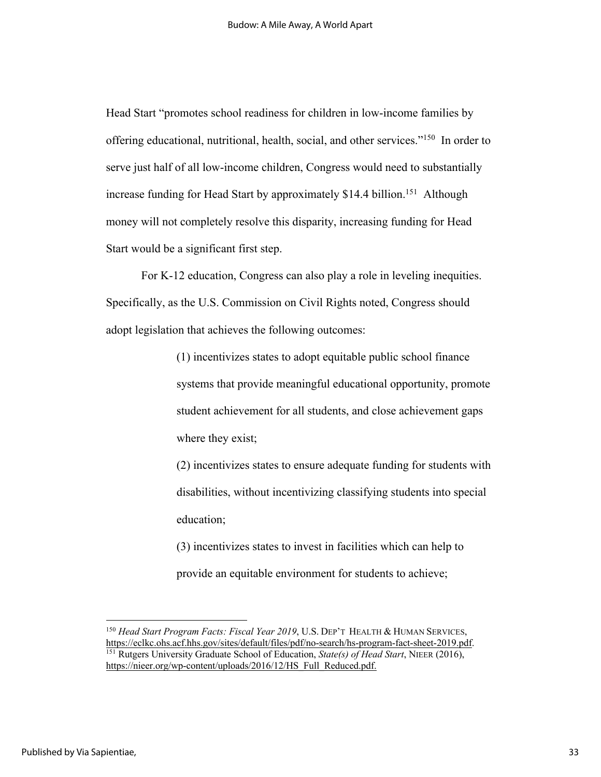Head Start "promotes school readiness for children in low-income families by offering educational, nutritional, health, social, and other services."150 In order to serve just half of all low-income children, Congress would need to substantially increase funding for Head Start by approximately \$14.4 billion.<sup>151</sup> Although money will not completely resolve this disparity, increasing funding for Head Start would be a significant first step.

For K-12 education, Congress can also play a role in leveling inequities. Specifically, as the U.S. Commission on Civil Rights noted, Congress should adopt legislation that achieves the following outcomes:

> (1) incentivizes states to adopt equitable public school finance systems that provide meaningful educational opportunity, promote student achievement for all students, and close achievement gaps where they exist;

> (2) incentivizes states to ensure adequate funding for students with disabilities, without incentivizing classifying students into special education;

(3) incentivizes states to invest in facilities which can help to provide an equitable environment for students to achieve;

<sup>&</sup>lt;sup>150</sup> *Head Start Program Facts: Fiscal Year 2019*, U.S. DEP'T HEALTH & HUMAN SERVICES,<br>https://eclkc.ohs.acf.hhs.gov/sites/default/files/pdf/no-search/hs-program-fact-sheet-2019.pdf. <sup>151</sup> Rutgers University Graduate School of Education, *State(s) of Head Start*, NIEER (2016), https://nieer.org/wp-content/uploads/2016/12/HS\_Full\_Reduced.pdf.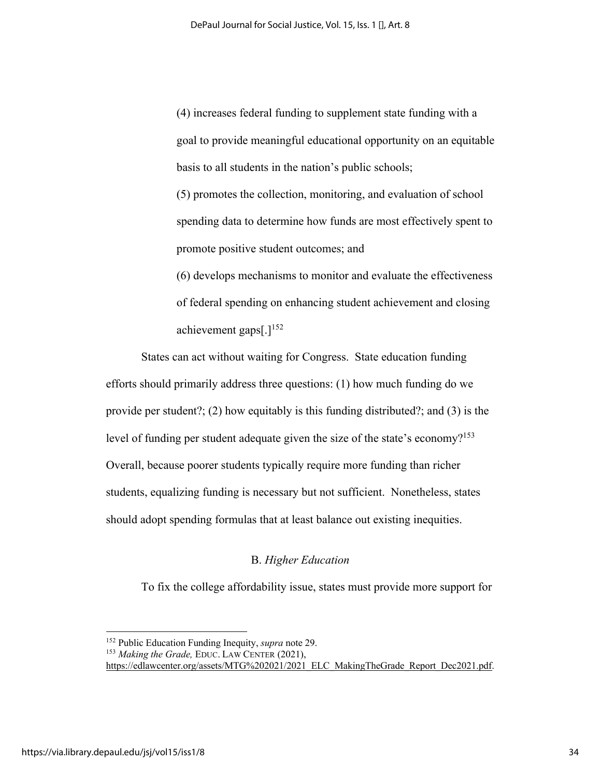(4) increases federal funding to supplement state funding with a goal to provide meaningful educational opportunity on an equitable basis to all students in the nation's public schools; (5) promotes the collection, monitoring, and evaluation of school spending data to determine how funds are most effectively spent to promote positive student outcomes; and (6) develops mechanisms to monitor and evaluate the effectiveness

of federal spending on enhancing student achievement and closing achievement gaps $[.]^{152}$ 

States can act without waiting for Congress. State education funding efforts should primarily address three questions: (1) how much funding do we provide per student?; (2) how equitably is this funding distributed?; and (3) is the level of funding per student adequate given the size of the state's economy?<sup>153</sup> Overall, because poorer students typically require more funding than richer students, equalizing funding is necessary but not sufficient. Nonetheless, states should adopt spending formulas that at least balance out existing inequities.

#### B. *Higher Education*

To fix the college affordability issue, states must provide more support for

<sup>152</sup> Public Education Funding Inequity, *supra* note 29.

<sup>153</sup> *Making the Grade,* EDUC. LAW CENTER (2021),

https://edlawcenter.org/assets/MTG%202021/2021\_ELC\_MakingTheGrade\_Report\_Dec2021.pdf.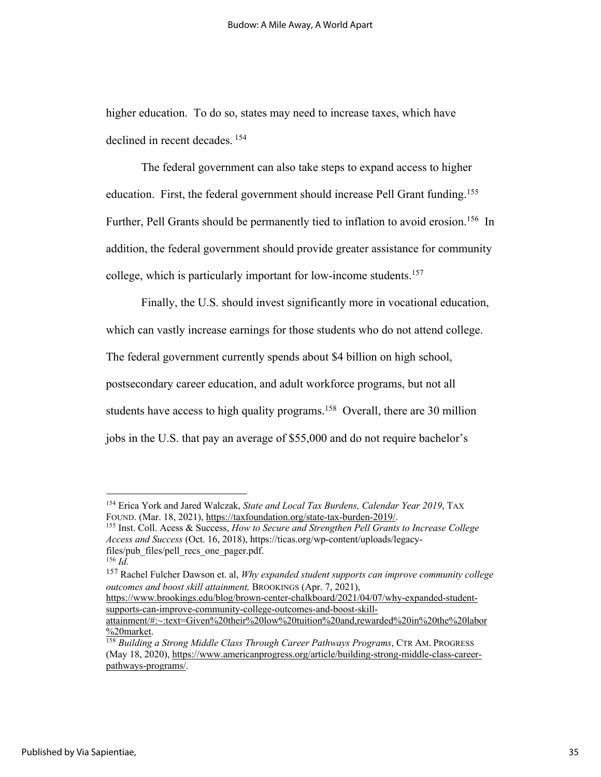higher education. To do so, states may need to increase taxes, which have declined in recent decades. 154

The federal government can also take steps to expand access to higher education. First, the federal government should increase Pell Grant funding.<sup>155</sup> Further, Pell Grants should be permanently tied to inflation to avoid erosion.<sup>156</sup> In addition, the federal government should provide greater assistance for community college, which is particularly important for low-income students.157

Finally, the U.S. should invest significantly more in vocational education, which can vastly increase earnings for those students who do not attend college. The federal government currently spends about \$4 billion on high school, postsecondary career education, and adult workforce programs, but not all students have access to high quality programs.<sup>158</sup> Overall, there are 30 million jobs in the U.S. that pay an average of \$55,000 and do not require bachelor's

<sup>&</sup>lt;sup>154</sup> Erica York and Jared Walczak, *State and Local Tax Burdens, Calendar Year 2019*, TAX FOUND. (Mar. 18, 2021), https://taxfoundation.org/state-tax-burden-2019/.

<sup>&</sup>lt;sup>155</sup> Inst. Coll. Acess & Success, *How to Secure and Strengthen Pell Grants to Increase College Access and Success* (Oct. 16, 2018), https://ticas.org/wp-content/uploads/legacyfiles/pub\_files/pell\_recs\_one\_pager.pdf.

 $^{156}$  *Id.* 

<sup>157</sup> Rachel Fulcher Dawson et. al, *Why expanded student supports can improve community college outcomes and boost skill attainment,* BROOKINGS (Apr. 7, 2021),

https://www.brookings.edu/blog/brown-center-chalkboard/2021/04/07/why-expanded-studentsupports-can-improve-community-college-outcomes-and-boost-skill-

attainment/#:~:text=Given%20their%20low%20tuition%20and,rewarded%20in%20the%20labor

<sup>&</sup>lt;sup>158</sup> Building a Strong Middle Class Through Career Pathways Programs, CTR AM. PROGRESS (May 18, 2020), https://www.americanprogress.org/article/building-strong-middle-class-careerpathways-programs/.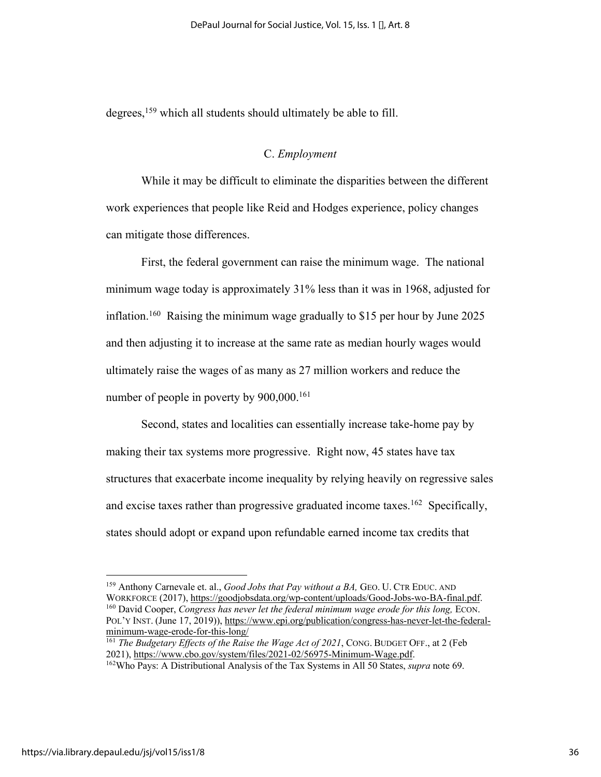degrees,<sup>159</sup> which all students should ultimately be able to fill.

#### C. *Employment*

While it may be difficult to eliminate the disparities between the different work experiences that people like Reid and Hodges experience, policy changes can mitigate those differences.

First, the federal government can raise the minimum wage. The national minimum wage today is approximately 31% less than it was in 1968, adjusted for inflation.<sup>160</sup> Raising the minimum wage gradually to \$15 per hour by June 2025 and then adjusting it to increase at the same rate as median hourly wages would ultimately raise the wages of as many as 27 million workers and reduce the number of people in poverty by  $900,000$ .<sup>161</sup>

Second, states and localities can essentially increase take-home pay by making their tax systems more progressive. Right now, 45 states have tax structures that exacerbate income inequality by relying heavily on regressive sales and excise taxes rather than progressive graduated income taxes.<sup>162</sup> Specifically, states should adopt or expand upon refundable earned income tax credits that

<sup>159</sup> Anthony Carnevale et. al., *Good Jobs that Pay without a BA,* GEO. U. CTR EDUC. AND WORKFORCE (2017), https://goodjobsdata.org/wp-content/uploads/Good-Jobs-wo-BA-final.pdf. 160 David Cooper, *Congress has never let the federal minimum wage erode for this long,* ECON. POL'Y INST. (June 17, 2019)), https://www.epi.org/publication/congress-has-never-let-the-federalminimum-wage-erode-for-this-long/

<sup>&</sup>lt;sup>161</sup> *The Budgetary Effects of the Raise the Wage Act of 2021*, CONG. BUDGET OFF., at 2 (Feb 2021), https://www.cbo.gov/system/files/2021-02/56975-Minimum-Wage.pdf.

<sup>&</sup>lt;sup>162</sup>Who Pays: A Distributional Analysis of the Tax Systems in All 50 States, *supra* note 69.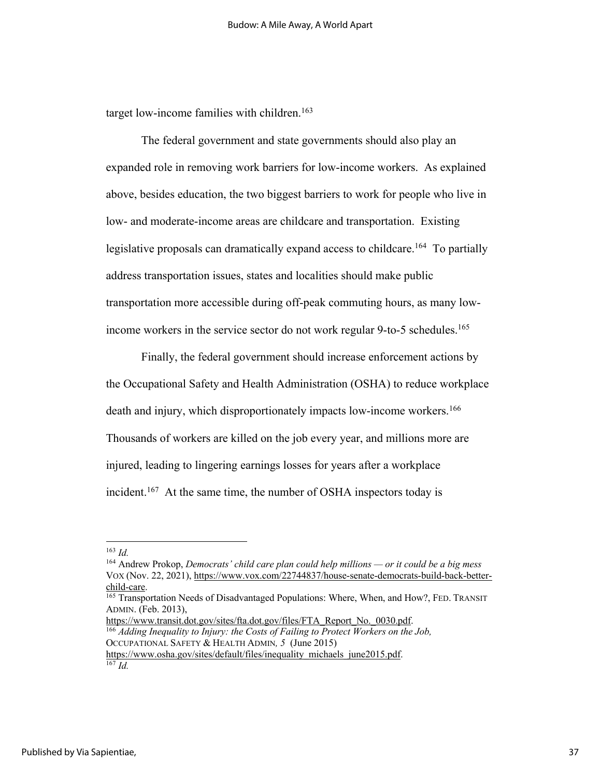target low-income families with children.<sup>163</sup>

The federal government and state governments should also play an expanded role in removing work barriers for low-income workers. As explained above, besides education, the two biggest barriers to work for people who live in low- and moderate-income areas are childcare and transportation. Existing legislative proposals can dramatically expand access to childcare.<sup>164</sup> To partially address transportation issues, states and localities should make public transportation more accessible during off-peak commuting hours, as many lowincome workers in the service sector do not work regular 9-to-5 schedules.<sup>165</sup>

Finally, the federal government should increase enforcement actions by the Occupational Safety and Health Administration (OSHA) to reduce workplace death and injury, which disproportionately impacts low-income workers.<sup>166</sup> Thousands of workers are killed on the job every year, and millions more are injured, leading to lingering earnings losses for years after a workplace incident.<sup>167</sup> At the same time, the number of OSHA inspectors today is

https://www.transit.dot.gov/sites/fta.dot.gov/files/FTA\_Report\_No.\_0030.pdf. 166 *Adding Inequality to Injury: the Costs of Failing to Protect Workers on the Job,*

<sup>163</sup> *Id.*

<sup>164</sup> Andrew Prokop, *Democrats' child care plan could help millions — or it could be a big mess* VOX (Nov. 22, 2021), https://www.vox.com/22744837/house-senate-democrats-build-back-betterchild-care.

<sup>&</sup>lt;sup>165</sup> Transportation Needs of Disadvantaged Populations: Where, When, and How?, FED. TRANSIT ADMIN. (Feb. 2013),

OCCUPATIONAL SAFETY & HEALTH ADMIN*, 5* (June 2015) https://www.osha.gov/sites/default/files/inequality\_michaels\_june2015.pdf.

 $\overline{^{167}Id}$ .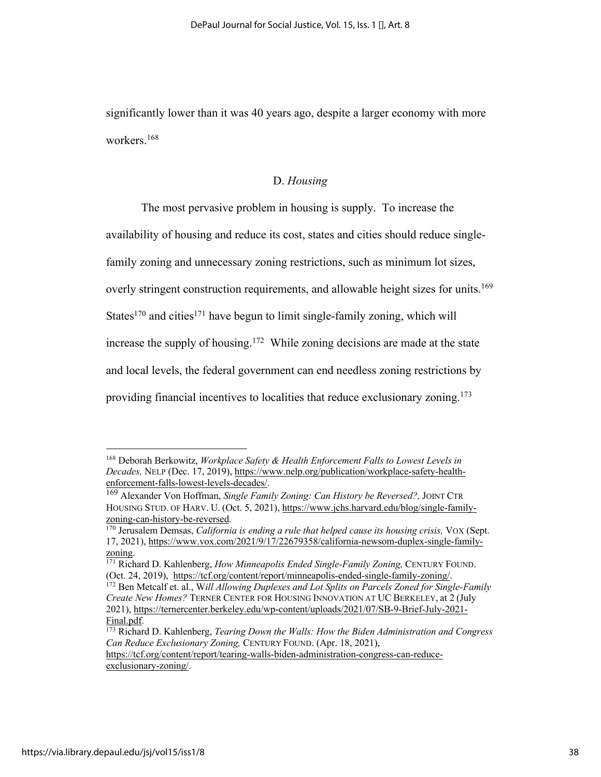significantly lower than it was 40 years ago, despite a larger economy with more workers.168

# D. *Housing*

The most pervasive problem in housing is supply. To increase the availability of housing and reduce its cost, states and cities should reduce singlefamily zoning and unnecessary zoning restrictions, such as minimum lot sizes, overly stringent construction requirements, and allowable height sizes for units.<sup>169</sup> States<sup>170</sup> and cities<sup>171</sup> have begun to limit single-family zoning, which will increase the supply of housing.<sup>172</sup> While zoning decisions are made at the state and local levels, the federal government can end needless zoning restrictions by providing financial incentives to localities that reduce exclusionary zoning.173

https://tcf.org/content/report/tearing-walls-biden-administration-congress-can-reduceexclusionary-zoning/.

<sup>168</sup> Deborah Berkowitz, *Workplace Safety & Health Enforcement Falls to Lowest Levels in Decades,* NELP (Dec. 17, 2019), https://www.nelp.org/publication/workplace-safety-healthenforcement-falls-lowest-levels-decades/.

<sup>169</sup> Alexander Von Hoffman, *Single Family Zoning: Can History be Reversed?,* JOINT CTR HOUSING STUD. OF HARV. U. (Oct. 5, 2021), https://www.jchs.harvard.edu/blog/single-familyzoning-can-history-be-reversed.

<sup>170</sup> Jerusalem Demsas, *California is ending a rule that helped cause its housing crisis,* VOX (Sept. 17, 2021), https://www.vox.com/2021/9/17/22679358/california-newsom-duplex-single-family-

zoning.<br><sup>171</sup> Richard D. Kahlenberg, *How Minneapolis Ended Single-Family Zoning*, CENTURY FOUND. (Oct. 24, 2019), https://tcf.org/content/report/minneapolis-ended-single-family-zoning/.

<sup>172</sup> Ben Metcalf et. al., W*ill Allowing Duplexes and Lot Splits on Parcels Zoned for Single-Family Create New Homes?* TERNER CENTER FOR HOUSING INNOVATION AT UC BERKELEY, at 2 (July 2021), https://ternercenter.berkeley.edu/wp-content/uploads/2021/07/SB-9-Brief-July-2021- Final.pdf. 173 Richard D. Kahlenberg, *Tearing Down the Walls: How the Biden Administration and Congress* 

*Can Reduce Exclusionary Zoning,* CENTURY FOUND. (Apr. 18, 2021),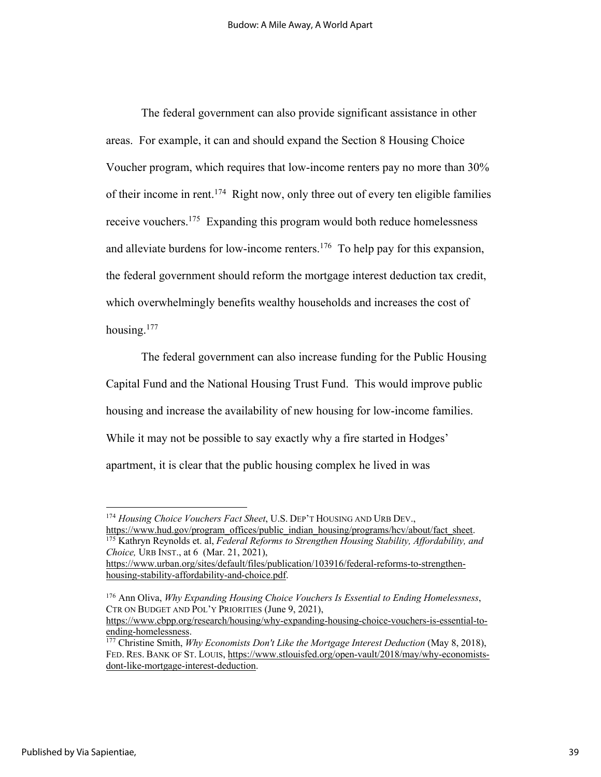The federal government can also provide significant assistance in other areas. For example, it can and should expand the Section 8 Housing Choice Voucher program, which requires that low-income renters pay no more than 30% of their income in rent.174 Right now, only three out of every ten eligible families receive vouchers.175 Expanding this program would both reduce homelessness and alleviate burdens for low-income renters.176 To help pay for this expansion, the federal government should reform the mortgage interest deduction tax credit, which overwhelmingly benefits wealthy households and increases the cost of housing.177

The federal government can also increase funding for the Public Housing Capital Fund and the National Housing Trust Fund. This would improve public housing and increase the availability of new housing for low-income families. While it may not be possible to say exactly why a fire started in Hodges' apartment, it is clear that the public housing complex he lived in was

<sup>175</sup> Kathryn Reynolds et. al, *Federal Reforms to Strengthen Housing Stability, Affordability, and Choice,* URB INST., at 6 (Mar. 21, 2021), https://www.urban.org/sites/default/files/publication/103916/federal-reforms-to-strengthenhousing-stability-affordability-and-choice.pdf.

<sup>&</sup>lt;sup>174</sup> *Housing Choice Vouchers Fact Sheet*, U.S. DEP'T HOUSING AND URB DEV.,<br>https://www.hud.gov/program offices/public indian housing/programs/hcv/about/fact sheet.

<sup>176</sup> Ann Oliva, *Why Expanding Housing Choice Vouchers Is Essential to Ending Homelessness*, CTR ON BUDGET AND POL'Y PRIORITIES (June 9, 2021),

https://www.cbpp.org/research/housing/why-expanding-housing-choice-vouchers-is-essential-toending-homelessness. 177 Christine Smith, *Why Economists Don't Like the Mortgage Interest Deduction* (May 8, 2018),

FED. RES. BANK OF ST. LOUIS, https://www.stlouisfed.org/open-vault/2018/may/why-economistsdont-like-mortgage-interest-deduction.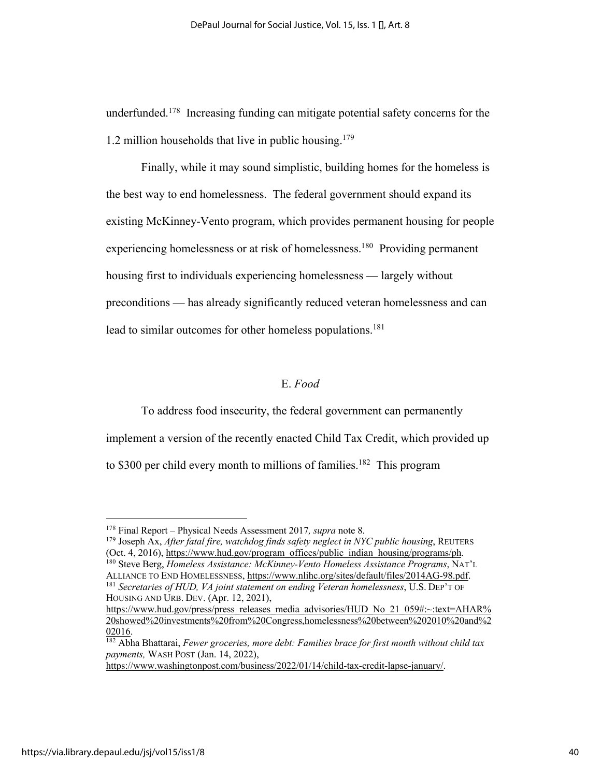underfunded.<sup>178</sup> Increasing funding can mitigate potential safety concerns for the 1.2 million households that live in public housing.<sup>179</sup>

Finally, while it may sound simplistic, building homes for the homeless is the best way to end homelessness. The federal government should expand its existing McKinney-Vento program, which provides permanent housing for people experiencing homelessness or at risk of homelessness.<sup>180</sup> Providing permanent housing first to individuals experiencing homelessness — largely without preconditions — has already significantly reduced veteran homelessness and can lead to similar outcomes for other homeless populations.<sup>181</sup>

# E. *Food*

To address food insecurity, the federal government can permanently implement a version of the recently enacted Child Tax Credit, which provided up to \$300 per child every month to millions of families.<sup>182</sup> This program

https://www.washingtonpost.com/business/2022/01/14/child-tax-credit-lapse-january/.

<sup>178</sup> Final Report – Physical Needs Assessment 2017*, supra* note 8.

<sup>179</sup> Joseph Ax, *After fatal fire, watchdog finds safety neglect in NYC public housing*, REUTERS (Oct. 4, 2016), https://www.hud.gov/program\_offices/public\_indian\_housing/programs/ph.

<sup>180</sup> Steve Berg, *Homeless Assistance: McKinney-Vento Homeless Assistance Programs*, NAT'L ALLIANCE TO END HOMELESSNESS, https://www.nlihc.org/sites/default/files/2014AG-98.pdf. <sup>181</sup> *Secretaries of HUD, VA joint statement on ending Veteran homelessness*, U.S. DEP'T OF HOUSING AND URB. DEV. (Apr. 12, 2021),

https://www.hud.gov/press/press\_releases\_media\_advisories/HUD\_No\_21\_059#:~:text=AHAR% 20showed%20investments%20from%20Congress,homelessness%20between%202010%20and%2

<sup>&</sup>lt;sup>182</sup> Abha Bhattarai, *Fewer groceries, more debt: Families brace for first month without child tax payments,* WASH POST (Jan. 14, 2022),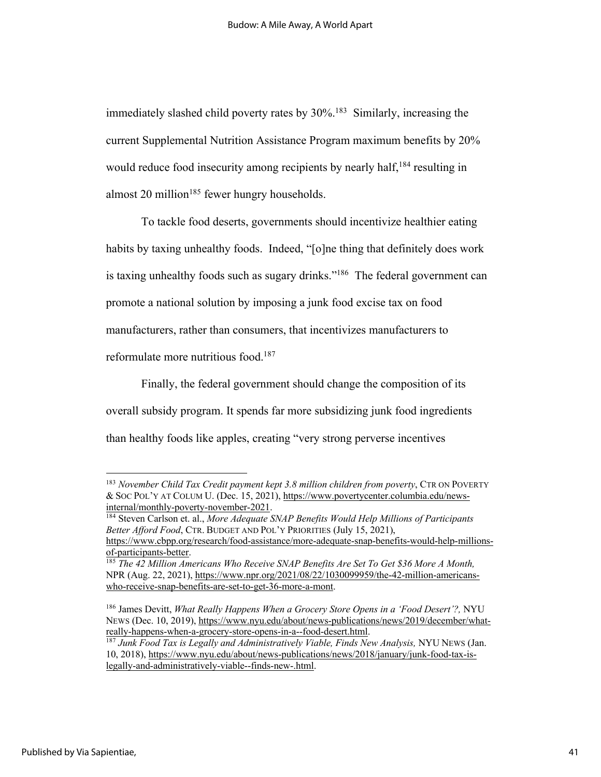immediately slashed child poverty rates by 30%.<sup>183</sup> Similarly, increasing the current Supplemental Nutrition Assistance Program maximum benefits by 20% would reduce food insecurity among recipients by nearly half,<sup>184</sup> resulting in almost 20 million<sup>185</sup> fewer hungry households.

To tackle food deserts, governments should incentivize healthier eating habits by taxing unhealthy foods. Indeed, "[o]ne thing that definitely does work is taxing unhealthy foods such as sugary drinks."<sup>186</sup> The federal government can promote a national solution by imposing a junk food excise tax on food manufacturers, rather than consumers, that incentivizes manufacturers to reformulate more nutritious food.187

Finally, the federal government should change the composition of its overall subsidy program. It spends far more subsidizing junk food ingredients than healthy foods like apples, creating "very strong perverse incentives

<sup>183</sup> *November Child Tax Credit payment kept 3.8 million children from poverty*, CTR ON POVERTY & SOC POL'Y AT COLUM U. (Dec. 15, 2021), https://www.povertycenter.columbia.edu/news-

<sup>&</sup>lt;sup>184</sup> Steven Carlson et. al., *More Adequate SNAP Benefits Would Help Millions of Participants Better Afford Food*, CTR. BUDGET AND POL'Y PRIORITIES (July 15, 2021),

https://www.cbpp.org/research/food-assistance/more-adequate-snap-benefits-would-help-millionsof-participants-better. 185 *The 42 Million Americans Who Receive SNAP Benefits Are Set To Get \$36 More A Month,*

NPR (Aug. 22, 2021), https://www.npr.org/2021/08/22/1030099959/the-42-million-americanswho-receive-snap-benefits-are-set-to-get-36-more-a-mont.

<sup>186</sup> James Devitt, *What Really Happens When a Grocery Store Opens in a 'Food Desert'?,* NYU NEWS (Dec. 10, 2019), https://www.nyu.edu/about/news-publications/news/2019/december/whatreally-happens-when-a-grocery-store-opens-in-a--food-desert.html.

<sup>187</sup> *Junk Food Tax is Legally and Administratively Viable, Finds New Analysis,* NYU NEWS (Jan. 10, 2018), https://www.nyu.edu/about/news-publications/news/2018/january/junk-food-tax-islegally-and-administratively-viable--finds-new-.html.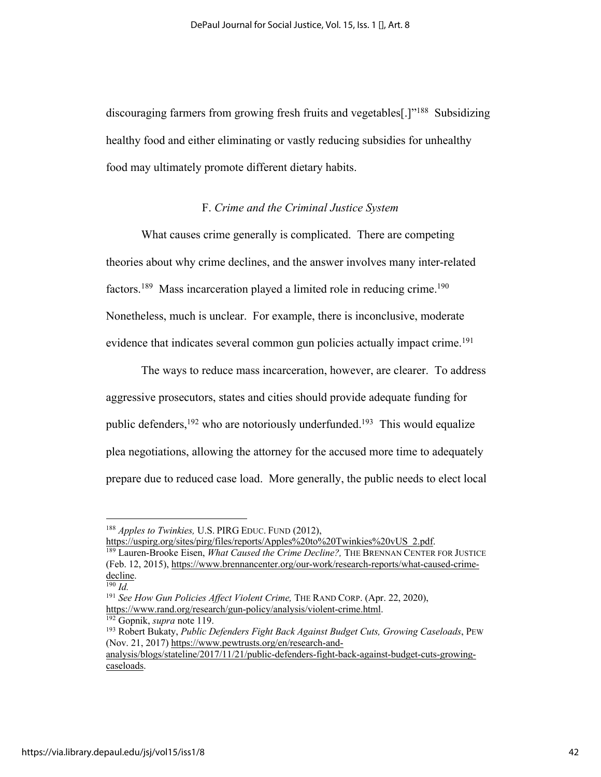discouraging farmers from growing fresh fruits and vegetables<sup>[1]"188</sup> Subsidizing healthy food and either eliminating or vastly reducing subsidies for unhealthy food may ultimately promote different dietary habits.

#### F. *Crime and the Criminal Justice System*

What causes crime generally is complicated. There are competing theories about why crime declines, and the answer involves many inter-related factors.<sup>189</sup> Mass incarceration played a limited role in reducing crime.<sup>190</sup> Nonetheless, much is unclear. For example, there is inconclusive, moderate evidence that indicates several common gun policies actually impact crime.<sup>191</sup>

The ways to reduce mass incarceration, however, are clearer. To address aggressive prosecutors, states and cities should provide adequate funding for public defenders, <sup>192</sup> who are notoriously underfunded.<sup>193</sup> This would equalize plea negotiations, allowing the attorney for the accused more time to adequately prepare due to reduced case load. More generally, the public needs to elect local

https://uspirg.org/sites/pirg/files/reports/Apples%20to%20Twinkies%20vUS\_2.pdf.

<sup>188</sup> *Apples to Twinkies,* U.S. PIRG EDUC. FUND (2012),

<sup>189</sup> Lauren-Brooke Eisen, *What Caused the Crime Decline?,* THE BRENNAN CENTER FOR JUSTICE (Feb. 12, 2015), https://www.brennancenter.org/our-work/research-reports/what-caused-crime- $\frac{\text{decline}}{190}$  *Id.* 

<sup>191</sup> *See How Gun Policies Affect Violent Crime,* THE RAND CORP. (Apr. 22, 2020), https://www.rand.org/research/gun-policy/analysis/violent-crime.html.

<sup>192</sup> Gopnik, *supra* note 119.

<sup>193</sup> Robert Bukaty, *Public Defenders Fight Back Against Budget Cuts, Growing Caseloads*, PEW (Nov. 21, 2017) https://www.pewtrusts.org/en/research-and-

analysis/blogs/stateline/2017/11/21/public-defenders-fight-back-against-budget-cuts-growingcaseloads.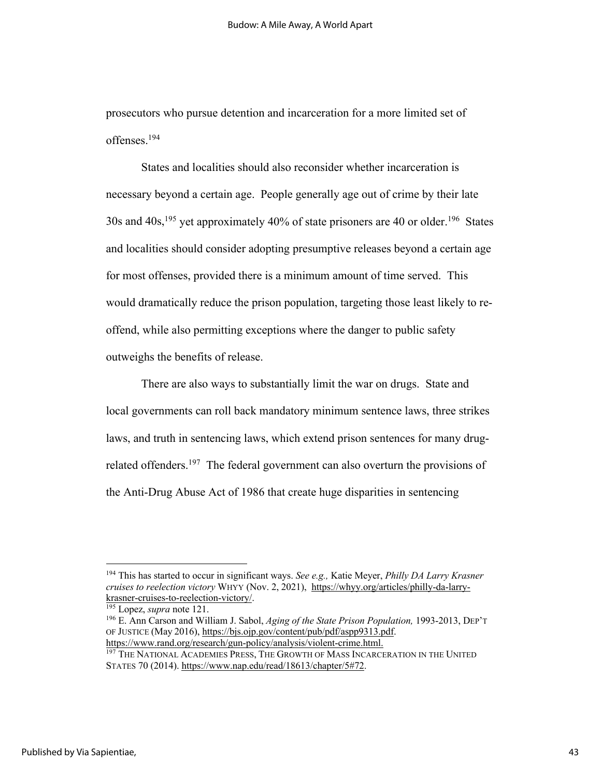prosecutors who pursue detention and incarceration for a more limited set of offenses.194

States and localities should also reconsider whether incarceration is necessary beyond a certain age. People generally age out of crime by their late 30s and 40s, <sup>195</sup> yet approximately 40% of state prisoners are 40 or older.196 States and localities should consider adopting presumptive releases beyond a certain age for most offenses, provided there is a minimum amount of time served. This would dramatically reduce the prison population, targeting those least likely to reoffend, while also permitting exceptions where the danger to public safety outweighs the benefits of release.

There are also ways to substantially limit the war on drugs. State and local governments can roll back mandatory minimum sentence laws, three strikes laws, and truth in sentencing laws, which extend prison sentences for many drugrelated offenders.<sup>197</sup> The federal government can also overturn the provisions of the Anti-Drug Abuse Act of 1986 that create huge disparities in sentencing

<sup>194</sup> This has started to occur in significant ways. *See e.g.,* Katie Meyer, *Philly DA Larry Krasner cruises to reelection victory* WHYY (Nov. 2, 2021), https://whyy.org/articles/philly-da-larrykrasner-cruises-to-reelection-victory/.

<sup>195</sup> Lopez, *supra* note 121.

<sup>196</sup> E. Ann Carson and William J. Sabol, *Aging of the State Prison Population,* 1993-2013, DEP'T OF JUSTICE (May 2016), https://bjs.ojp.gov/content/pub/pdf/aspp9313.pdf. https://www.rand.org/research/gun-policy/analysis/violent-crime.html.

<sup>&</sup>lt;sup>197</sup> THE NATIONAL ACADEMIES PRESS, THE GROWTH OF MASS INCARCERATION IN THE UNITED STATES 70 (2014). https://www.nap.edu/read/18613/chapter/5#72.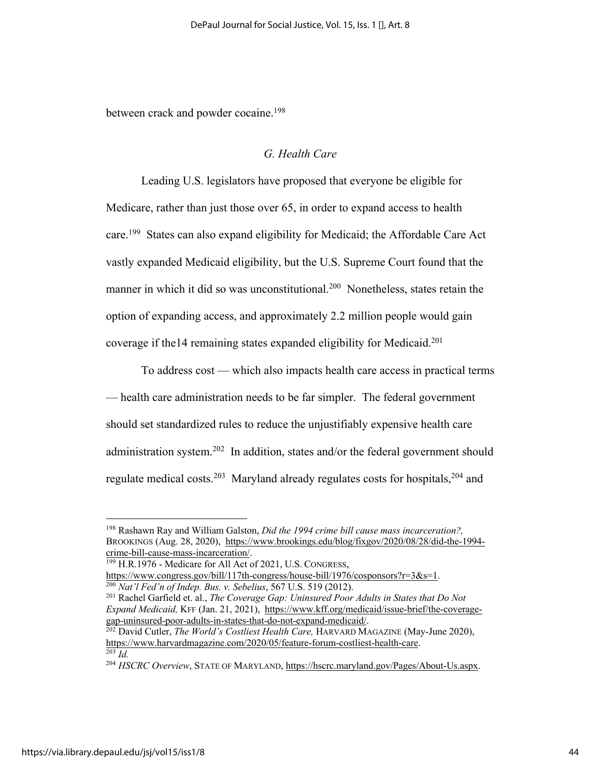between crack and powder cocaine.<sup>198</sup>

#### *G. Health Care*

Leading U.S. legislators have proposed that everyone be eligible for Medicare, rather than just those over 65, in order to expand access to health care.<sup>199</sup> States can also expand eligibility for Medicaid; the Affordable Care Act vastly expanded Medicaid eligibility, but the U.S. Supreme Court found that the manner in which it did so was unconstitutional.<sup>200</sup> Nonetheless, states retain the option of expanding access, and approximately 2.2 million people would gain coverage if the 14 remaining states expanded eligibility for Medicaid.<sup>201</sup>

To address cost — which also impacts health care access in practical terms — health care administration needs to be far simpler. The federal government should set standardized rules to reduce the unjustifiably expensive health care administration system.<sup>202</sup> In addition, states and/or the federal government should regulate medical costs.<sup>203</sup> Maryland already regulates costs for hospitals,<sup>204</sup> and

<sup>198</sup> Rashawn Ray and William Galston, *Did the 1994 crime bill cause mass incarceration?,* BROOKINGS (Aug. 28, 2020), https://www.brookings.edu/blog/fixgov/2020/08/28/did-the-1994 crime-bill-cause-mass-incarceration/.

<sup>199</sup> H.R.1976 - Medicare for All Act of 2021, U.S. CONGRESS,

https://www.congress.gov/bill/117th-congress/house-bill/1976/cosponsors?r=3&s=1.<br><sup>200</sup> Nat'l Fed'n of Indep. Bus. v. Sebelius, 567 U.S. 519 (2012).<br><sup>201</sup> Rachel Garfield et. al., *The Coverage Gap: Uninsured Poor Adults i* 

*Expand Medicaid,* KFF (Jan. 21, 2021), https://www.kff.org/medicaid/issue-brief/the-coveragegap-uninsured-poor-adults-in-states-that-do-not-expand-medicaid/. 202 David Cutler, *The World's Costliest Health Care,* HARVARD MAGAZINE (May-June 2020),

https://www.harvardmagazine.com/2020/05/feature-forum-costliest-health-care. 203 *Id.*

<sup>204</sup> *HSCRC Overview*, STATE OF MARYLAND, https://hscrc.maryland.gov/Pages/About-Us.aspx.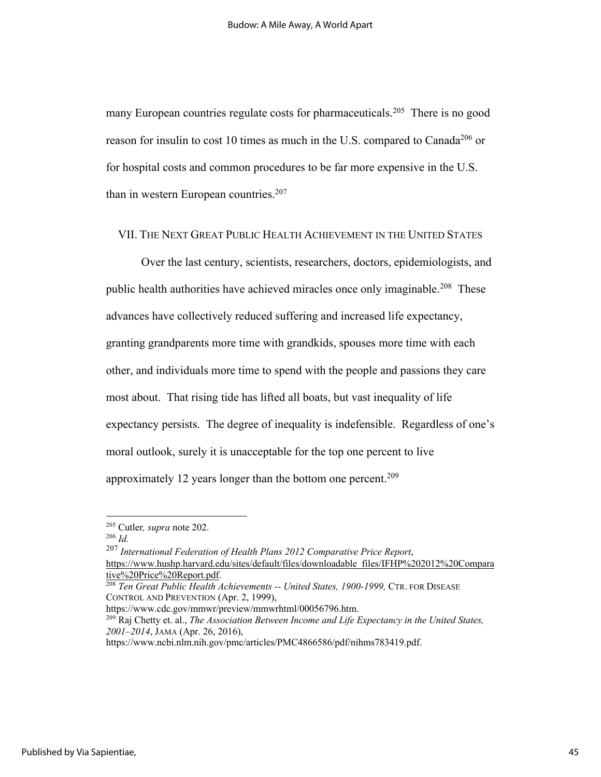many European countries regulate costs for pharmaceuticals.<sup>205</sup> There is no good reason for insulin to cost 10 times as much in the U.S. compared to Canada<sup>206</sup> or for hospital costs and common procedures to be far more expensive in the U.S. than in western European countries. $207$ 

#### VII. THE NEXT GREAT PUBLIC HEALTH ACHIEVEMENT IN THE UNITED STATES

Over the last century, scientists, researchers, doctors, epidemiologists, and public health authorities have achieved miracles once only imaginable.<sup>208</sup> These advances have collectively reduced suffering and increased life expectancy, granting grandparents more time with grandkids, spouses more time with each other, and individuals more time to spend with the people and passions they care most about. That rising tide has lifted all boats, but vast inequality of life expectancy persists. The degree of inequality is indefensible. Regardless of one's moral outlook, surely it is unacceptable for the top one percent to live approximately 12 years longer than the bottom one percent.<sup>209</sup>

<sup>205</sup> Cutler*, supra* note 202. 206 *Id.*

<sup>207</sup> *International Federation of Health Plans 2012 Comparative Price Report*, https://www.hushp.harvard.edu/sites/default/files/downloadable\_files/IFHP%202012%20Compara tive%20Price%20Report.pdf. 208 *Ten Great Public Health Achievements -- United States, 1900-1999,* CTR. FOR DISEASE

CONTROL AND PREVENTION (Apr. 2, 1999),

https://www.cdc.gov/mmwr/preview/mmwrhtml/00056796.htm.

<sup>209</sup> Raj Chetty et. al., *The Association Between Income and Life Expectancy in the United States, 2001–2014*, JAMA (Apr. 26, 2016),

https://www.ncbi.nlm.nih.gov/pmc/articles/PMC4866586/pdf/nihms783419.pdf.